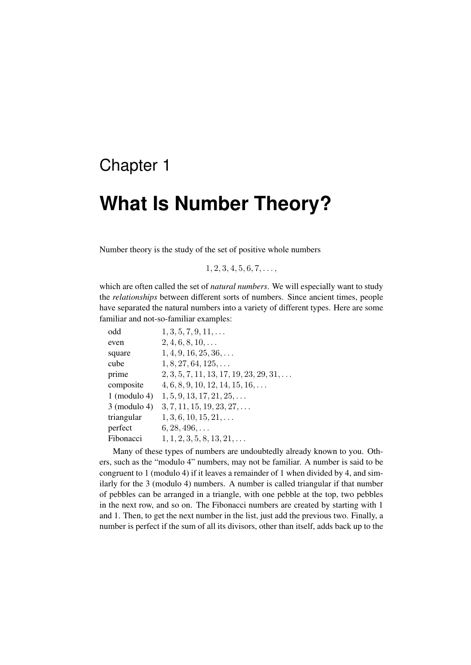### Chapter 1

## **What Is Number Theory?**

Number theory is the study of the set of positive whole numbers

1*,* 2*,* 3*,* 4*,* 5*,* 6*,* 7*, . . . ,*

which are often called the set of *natural numbers*. We will especially want to study the *relationships* between different sorts of numbers. Since ancient times, people have separated the natural numbers into a variety of different types. Here are some familiar and not-so-familiar examples:

| odd          | $1, 3, 5, 7, 9, 11, \ldots$                      |
|--------------|--------------------------------------------------|
| even         | $2, 4, 6, 8, 10, \ldots$                         |
| square       | $1, 4, 9, 16, 25, 36, \ldots$                    |
| cube         | $1, 8, 27, 64, 125, \ldots$                      |
| prime        | $2, 3, 5, 7, 11, 13, 17, 19, 23, 29, 31, \ldots$ |
| composite    | $4, 6, 8, 9, 10, 12, 14, 15, 16, \ldots$         |
| $1 \pmod{4}$ | $1, 5, 9, 13, 17, 21, 25, \ldots$                |
| $3 \pmod{4}$ | $3, 7, 11, 15, 19, 23, 27, \ldots$               |
| triangular   | $1, 3, 6, 10, 15, 21, \ldots$                    |
| perfect      | $6, 28, 496, \ldots$                             |
| Fibonacci    | $1, 1, 2, 3, 5, 8, 13, 21, \ldots$               |

Many of these types of numbers are undoubtedly already known to you. Others, such as the "modulo 4" numbers, may not be familiar. A number is said to be congruent to 1 (modulo 4) if it leaves a remainder of 1 when divided by 4, and similarly for the 3 (modulo 4) numbers. A number is called triangular if that number of pebbles can be arranged in a triangle, with one pebble at the top, two pebbles in the next row, and so on. The Fibonacci numbers are created by starting with 1 and 1. Then, to get the next number in the list, just add the previous two. Finally, a number is perfect if the sum of all its divisors, other than itself, adds back up to the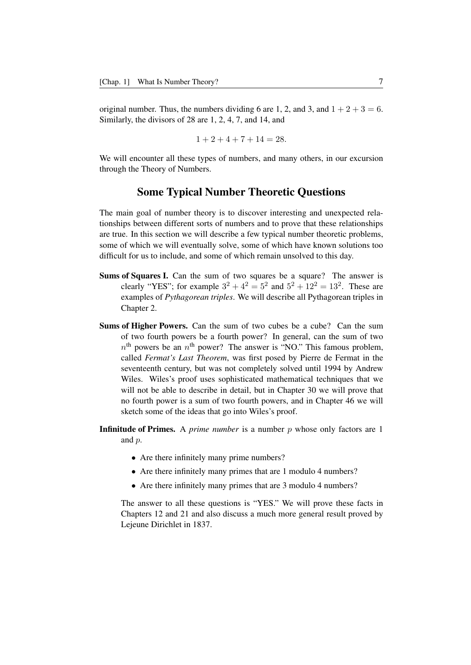original number. Thus, the numbers dividing 6 are 1, 2, and 3, and  $1 + 2 + 3 = 6$ . Similarly, the divisors of 28 are 1, 2, 4, 7, and 14, and

$$
1 + 2 + 4 + 7 + 14 = 28.
$$

We will encounter all these types of numbers, and many others, in our excursion through the Theory of Numbers.

### Some Typical Number Theoretic Questions

The main goal of number theory is to discover interesting and unexpected relationships between different sorts of numbers and to prove that these relationships are true. In this section we will describe a few typical number theoretic problems, some of which we will eventually solve, some of which have known solutions too difficult for us to include, and some of which remain unsolved to this day.

- Sums of Squares I. Can the sum of two squares be a square? The answer is clearly "YES"; for example  $3^2 + 4^2 = 5^2$  and  $5^2 + 12^2 = 13^2$ . These are examples of *Pythagorean triples*. We will describe all Pythagorean triples in Chapter 2.
- Sums of Higher Powers. Can the sum of two cubes be a cube? Can the sum of two fourth powers be a fourth power? In general, can the sum of two  $n<sup>th</sup>$  powers be an  $n<sup>th</sup>$  power? The answer is "NO." This famous problem, called *Fermat's Last Theorem*, was first posed by Pierre de Fermat in the seventeenth century, but was not completely solved until 1994 by Andrew Wiles. Wiles's proof uses sophisticated mathematical techniques that we will not be able to describe in detail, but in Chapter 30 we will prove that no fourth power is a sum of two fourth powers, and in Chapter 46 we will sketch some of the ideas that go into Wiles's proof.
- Infinitude of Primes. A *prime number* is a number *p* whose only factors are 1 and *p*.
	- *•* Are there infinitely many prime numbers?
	- Are there infinitely many primes that are 1 modulo 4 numbers?
	- *•* Are there infinitely many primes that are 3 modulo 4 numbers?

The answer to all these questions is "YES." We will prove these facts in Chapters 12 and 21 and also discuss a much more general result proved by Lejeune Dirichlet in 1837.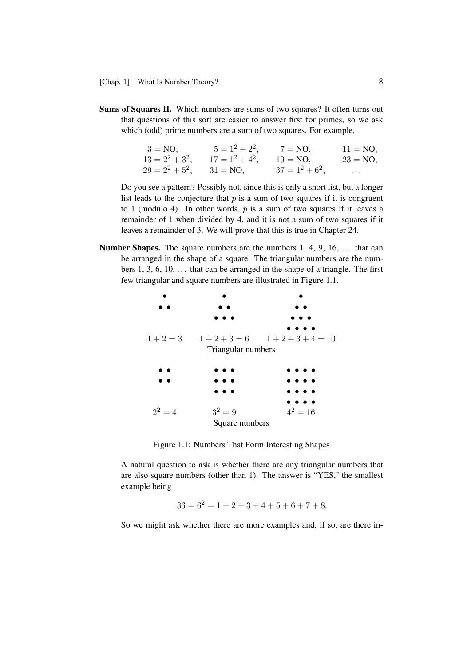Sums of Squares II. Which numbers are sums of two squares? It often turns out that questions of this sort are easier to answer first for primes, so we ask which (odd) prime numbers are a sum of two squares. For example,

| $3 = \text{NO}$                | $5 = 1^2 + 2^2$ ,  | $7 = NO$ ,         | $11 = NO$ ,              |
|--------------------------------|--------------------|--------------------|--------------------------|
| $13 = 2^2 + 3^2$ ,             | $17 = 1^2 + 4^2$ , | $19 = \text{NO}$ , | $23 = NO$ ,              |
| $29 = 2^2 + 5^2$ , $31 = NO$ , |                    | $37 = 1^2 + 6^2$ , | <b>Contract Contract</b> |

Do you see a pattern? Possibly not, since this is only a short list, but a longer list leads to the conjecture that  $p$  is a sum of two squares if it is congruent to 1 (modulo 4). In other words,  $p$  is a sum of two squares if it leaves a remainder of 1 when divided by 4, and it is not a sum of two squares if it leaves a remainder of 3. We will prove that this is true in Chapter 24.

**Number Shapes.** The square numbers are the numbers  $1, 4, 9, 16, \ldots$  that can be arranged in the shape of a square. The triangular numbers are the numbers  $1, 3, 6, 10, \ldots$  that can be arranged in the shape of a triangle. The first few triangular and square numbers are illustrated in Figure 1.1.



Figure 1.1: Numbers That Form Interesting Shapes

A natural question to ask is whether there are any triangular numbers that are also square numbers (other than 1). The answer is "YES," the smallest example being

$$
36 = 6^2 = 1 + 2 + 3 + 4 + 5 + 6 + 7 + 8.
$$

So we might ask whether there are more examples and, if so, are there in-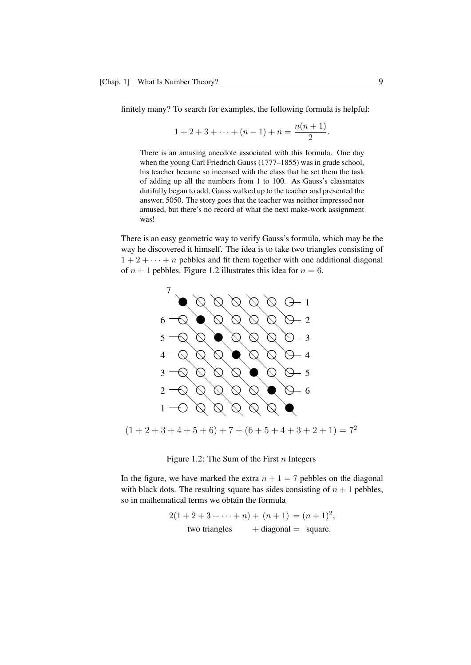finitely many? To search for examples, the following formula is helpful:

$$
1 + 2 + 3 + \dots + (n - 1) + n = \frac{n(n + 1)}{2}.
$$

There is an amusing anecdote associated with this formula. One day when the young Carl Friedrich Gauss (1777–1855) was in grade school, his teacher became so incensed with the class that he set them the task of adding up all the numbers from 1 to 100. As Gauss's classmates dutifully began to add, Gauss walked up to the teacher and presented the answer, 5050. The story goes that the teacher was neither impressed nor amused, but there's no record of what the next make-work assignment was!

There is an easy geometric way to verify Gauss's formula, which may be the way he discovered it himself. The idea is to take two triangles consisting of  $1 + 2 + \cdots + n$  pebbles and fit them together with one additional diagonal of  $n + 1$  pebbles. Figure 1.2 illustrates this idea for  $n = 6$ .





In the figure, we have marked the extra  $n + 1 = 7$  pebbles on the diagonal with black dots. The resulting square has sides consisting of  $n + 1$  pebbles, so in mathematical terms we obtain the formula

$$
2(1+2+3+\cdots+n) + (n+1) = (n+1)2,
$$
  
two triangles + diagonal = square.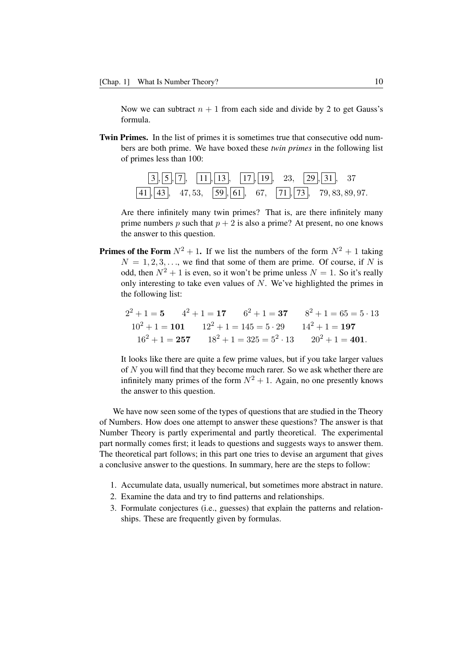Now we can subtract  $n + 1$  from each side and divide by 2 to get Gauss's formula.

Twin Primes. In the list of primes it is sometimes true that consecutive odd numbers are both prime. We have boxed these *twin primes* in the following list of primes less than 100:

|  | $\boxed{3}, \boxed{5}, \boxed{7}, \boxed{11}, \boxed{13}, \boxed{17}, \boxed{19}, \boxed{23}, \boxed{29}, \boxed{31}, \boxed{37}$ |  |  |
|--|-----------------------------------------------------------------------------------------------------------------------------------|--|--|
|  | $\boxed{41}$ , $\boxed{43}$ , $47,53$ , $\boxed{59}$ , $\boxed{61}$ , $67$ , $\boxed{71}$ , $\boxed{73}$ , $79,83,89,97$ .        |  |  |

Are there infinitely many twin primes? That is, are there infinitely many prime numbers  $p$  such that  $p + 2$  is also a prime? At present, no one knows the answer to this question.

**Primes of the Form**  $N^2 + 1$ . If we list the numbers of the form  $N^2 + 1$  taking  $N = 1, 2, 3, \ldots$ , we find that some of them are prime. Of course, if *N* is odd, then  $N^2 + 1$  is even, so it won't be prime unless  $N = 1$ . So it's really only interesting to take even values of *N*. We've highlighted the primes in the following list:

$$
22 + 1 = 5
$$
  
\n
$$
42 + 1 = 17
$$
  
\n
$$
102 + 1 = 101
$$
  
\n
$$
122 + 1 = 145 = 5 \cdot 29
$$
  
\n
$$
142 + 1 = 197
$$
  
\n
$$
162 + 1 = 257
$$
  
\n
$$
182 + 1 = 325 = 52 \cdot 13
$$
  
\n
$$
202 + 1 = 401
$$

It looks like there are quite a few prime values, but if you take larger values of *N* you will find that they become much rarer. So we ask whether there are infinitely many primes of the form  $N^2 + 1$ . Again, no one presently knows the answer to this question.

We have now seen some of the types of questions that are studied in the Theory of Numbers. How does one attempt to answer these questions? The answer is that Number Theory is partly experimental and partly theoretical. The experimental part normally comes first; it leads to questions and suggests ways to answer them. The theoretical part follows; in this part one tries to devise an argument that gives a conclusive answer to the questions. In summary, here are the steps to follow:

- 1. Accumulate data, usually numerical, but sometimes more abstract in nature.
- 2. Examine the data and try to find patterns and relationships.
- 3. Formulate conjectures (i.e., guesses) that explain the patterns and relationships. These are frequently given by formulas.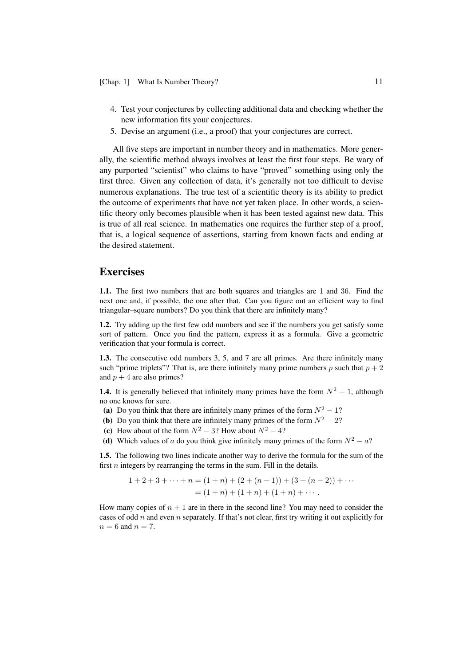- 4. Test your conjectures by collecting additional data and checking whether the new information fits your conjectures.
- 5. Devise an argument (i.e., a proof) that your conjectures are correct.

All five steps are important in number theory and in mathematics. More generally, the scientific method always involves at least the first four steps. Be wary of any purported "scientist" who claims to have "proved" something using only the first three. Given any collection of data, it's generally not too difficult to devise numerous explanations. The true test of a scientific theory is its ability to predict the outcome of experiments that have not yet taken place. In other words, a scientific theory only becomes plausible when it has been tested against new data. This is true of all real science. In mathematics one requires the further step of a proof, that is, a logical sequence of assertions, starting from known facts and ending at the desired statement.

#### **Exercises**

1.1. The first two numbers that are both squares and triangles are 1 and 36. Find the next one and, if possible, the one after that. Can you figure out an efficient way to find triangular–square numbers? Do you think that there are infinitely many?

1.2. Try adding up the first few odd numbers and see if the numbers you get satisfy some sort of pattern. Once you find the pattern, express it as a formula. Give a geometric verification that your formula is correct.

1.3. The consecutive odd numbers 3, 5, and 7 are all primes. Are there infinitely many such "prime triplets"? That is, are there infinitely many prime numbers  $p$  such that  $p + 2$ and  $p + 4$  are also primes?

1.4. It is generally believed that infinitely many primes have the form  $N^2 + 1$ , although no one knows for sure.

- (a) Do you think that there are infinitely many primes of the form  $N^2 1$ ?
- (b) Do you think that there are infinitely many primes of the form  $N^2 2$ ?
- (c) How about of the form  $N^2 3$ ? How about  $N^2 4$ ?
- (d) Which values of *a* do you think give infinitely many primes of the form  $N^2 a$ ?

1.5. The following two lines indicate another way to derive the formula for the sum of the first *n* integers by rearranging the terms in the sum. Fill in the details.

$$
1 + 2 + 3 + \dots + n = (1 + n) + (2 + (n - 1)) + (3 + (n - 2)) + \dots
$$
  
= (1 + n) + (1 + n) + (1 + n) + \dots

How many copies of  $n + 1$  are in there in the second line? You may need to consider the cases of odd *n* and even *n* separately. If that's not clear, first try writing it out explicitly for  $n = 6$  and  $n = 7$ .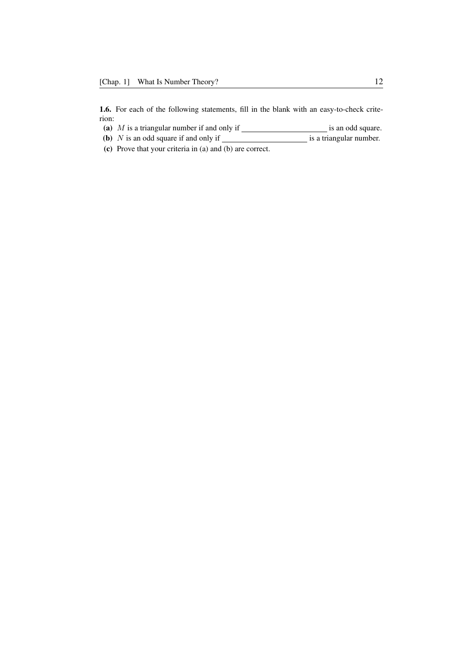1.6. For each of the following statements, fill in the blank with an easy-to-check criterion:

- (a)  $M$  is a triangular number if and only if  $\overline{\hspace{1cm}}$  is an odd square.<br>
(b)  $N$  is an odd square if and only if  $\overline{\hspace{1cm}}$  is a triangular number.
- (b)  $N$  is an odd square if and only if  $\blacksquare$
- (c) Prove that your criteria in (a) and (b) are correct.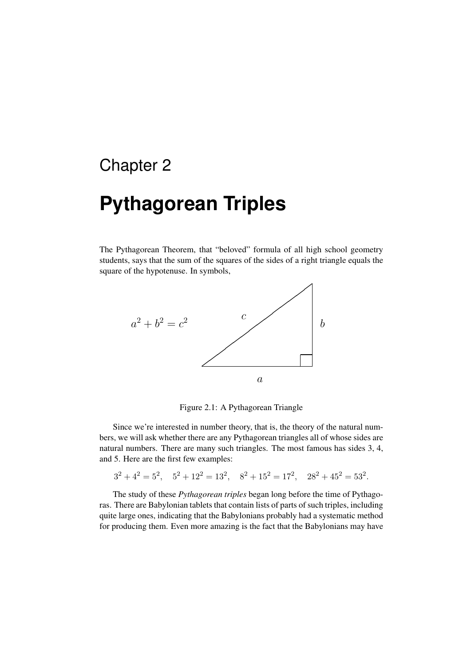### Chapter 2

## **Pythagorean Triples**

The Pythagorean Theorem, that "beloved" formula of all high school geometry students, says that the sum of the squares of the sides of a right triangle equals the square of the hypotenuse. In symbols,



Figure 2.1: A Pythagorean Triangle

Since we're interested in number theory, that is, the theory of the natural numbers, we will ask whether there are any Pythagorean triangles all of whose sides are natural numbers. There are many such triangles. The most famous has sides 3, 4, and 5. Here are the first few examples:

 $3^2 + 4^2 = 5^2$ ,  $5^2 + 12^2 = 13^2$ ,  $8^2 + 15^2 = 17^2$ ,  $28^2 + 45^2 = 53^2$ .

The study of these *Pythagorean triples* began long before the time of Pythagoras. There are Babylonian tablets that contain lists of parts of such triples, including quite large ones, indicating that the Babylonians probably had a systematic method for producing them. Even more amazing is the fact that the Babylonians may have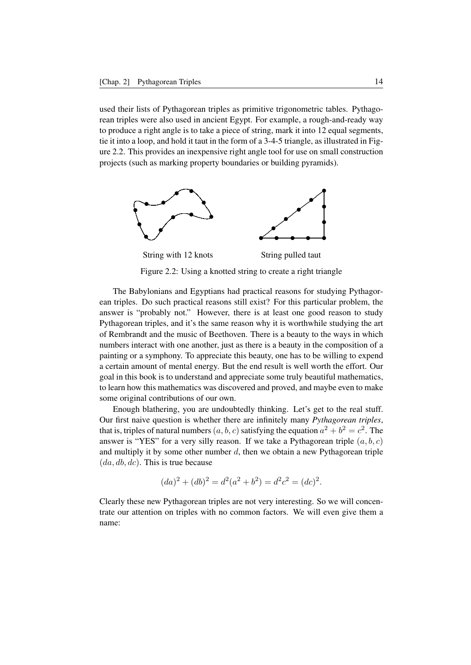used their lists of Pythagorean triples as primitive trigonometric tables. Pythagorean triples were also used in ancient Egypt. For example, a rough-and-ready way to produce a right angle is to take a piece of string, mark it into 12 equal segments, tie it into a loop, and hold it taut in the form of a 3-4-5 triangle, as illustrated in Figure 2.2. This provides an inexpensive right angle tool for use on small construction projects (such as marking property boundaries or building pyramids).



Figure 2.2: Using a knotted string to create a right triangle

The Babylonians and Egyptians had practical reasons for studying Pythagorean triples. Do such practical reasons still exist? For this particular problem, the answer is "probably not." However, there is at least one good reason to study Pythagorean triples, and it's the same reason why it is worthwhile studying the art of Rembrandt and the music of Beethoven. There is a beauty to the ways in which numbers interact with one another, just as there is a beauty in the composition of a painting or a symphony. To appreciate this beauty, one has to be willing to expend a certain amount of mental energy. But the end result is well worth the effort. Our goal in this book is to understand and appreciate some truly beautiful mathematics, to learn how this mathematics was discovered and proved, and maybe even to make some original contributions of our own.

Enough blathering, you are undoubtedly thinking. Let's get to the real stuff. Our first naive question is whether there are infinitely many *Pythagorean triples*, that is, triples of natural numbers  $(a, b, c)$  satisfying the equation  $a^2 + b^2 = c^2$ . The answer is "YES" for a very silly reason. If we take a Pythagorean triple (*a, b, c*) and multiply it by some other number *d*, then we obtain a new Pythagorean triple (*da, db, dc*). This is true because

$$
(da)^{2} + (db)^{2} = d^{2}(a^{2} + b^{2}) = d^{2}c^{2} = (dc)^{2}.
$$

Clearly these new Pythagorean triples are not very interesting. So we will concentrate our attention on triples with no common factors. We will even give them a name: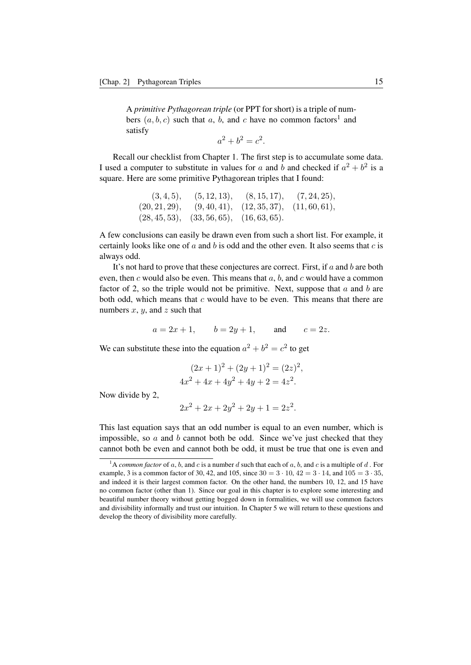A *primitive Pythagorean triple* (or PPT for short) is a triple of numbers  $(a, b, c)$  such that a, b, and c have no common factors<sup>1</sup> and satisfy

$$
a^2 + b^2 = c^2.
$$

Recall our checklist from Chapter 1. The first step is to accumulate some data. I used a computer to substitute in values for *a* and *b* and checked if  $a^2 + b^2$  is a square. Here are some primitive Pythagorean triples that I found:

$$
(3, 4, 5),
$$
  $(5, 12, 13),$   $(8, 15, 17),$   $(7, 24, 25),$   
 $(20, 21, 29),$   $(9, 40, 41),$   $(12, 35, 37),$   $(11, 60, 61),$   
 $(28, 45, 53),$   $(33, 56, 65),$   $(16, 63, 65).$ 

A few conclusions can easily be drawn even from such a short list. For example, it certainly looks like one of *a* and *b* is odd and the other even. It also seems that *c* is always odd.

It's not hard to prove that these conjectures are correct. First, if *a* and *b* are both even, then *c* would also be even. This means that *a*, *b*, and *c* would have a common factor of 2, so the triple would not be primitive. Next, suppose that *a* and *b* are both odd, which means that *c* would have to be even. This means that there are numbers *x*, *y*, and *z* such that

$$
a = 2x + 1, \qquad b = 2y + 1, \qquad \text{and} \qquad c = 2z.
$$

We can substitute these into the equation  $a^2 + b^2 = c^2$  to get

$$
(2x+1)2 + (2y+1)2 = (2z)2,
$$
  

$$
4x2 + 4x + 4y2 + 4y + 2 = 4z2.
$$

Now divide by 2,

$$
2x^2 + 2x + 2y^2 + 2y + 1 = 2z^2.
$$

This last equation says that an odd number is equal to an even number, which is impossible, so *a* and *b* cannot both be odd. Since we've just checked that they cannot both be even and cannot both be odd, it must be true that one is even and

<sup>&</sup>lt;sup>1</sup>A *common factor* of *a*, *b*, and *c* is a number *d* such that each of *a*, *b*, and *c* is a multiple of *d*. For example, 3 is a common factor of 30, 42, and 105, since  $30 = 3 \cdot 10$ ,  $42 = 3 \cdot 14$ , and  $105 = 3 \cdot 35$ , and indeed it is their largest common factor. On the other hand, the numbers 10, 12, and 15 have no common factor (other than 1). Since our goal in this chapter is to explore some interesting and beautiful number theory without getting bogged down in formalities, we will use common factors and divisibility informally and trust our intuition. In Chapter 5 we will return to these questions and develop the theory of divisibility more carefully.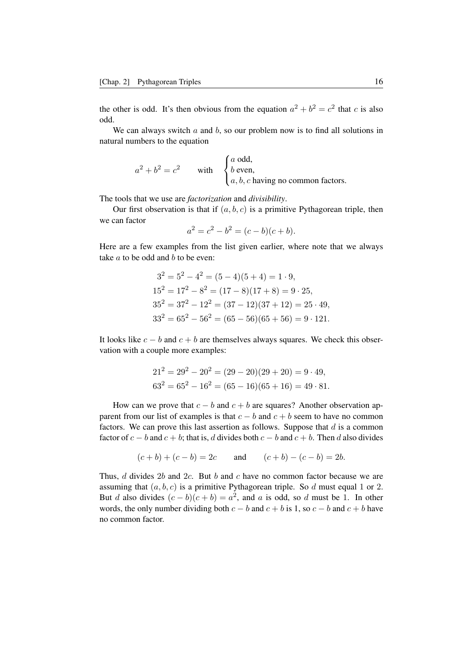the other is odd. It's then obvious from the equation  $a^2 + b^2 = c^2$  that *c* is also odd.

We can always switch *a* and *b*, so our problem now is to find all solutions in natural numbers to the equation

$$
a2 + b2 = c2
$$
 with 
$$
\begin{cases} a \text{ odd,} \\ b \text{ even,} \\ a, b, c \text{ having no common factors.} \end{cases}
$$

The tools that we use are *factorization* and *divisibility*.

Our first observation is that if  $(a, b, c)$  is a primitive Pythagorean triple, then we can factor

$$
a^2 = c^2 - b^2 = (c - b)(c + b).
$$

Here are a few examples from the list given earlier, where note that we always take *a* to be odd and *b* to be even:

$$
32 = 52 - 42 = (5 - 4)(5 + 4) = 1 \cdot 9,
$$
  
\n
$$
152 = 172 - 82 = (17 - 8)(17 + 8) = 9 \cdot 25,
$$
  
\n
$$
352 = 372 - 122 = (37 - 12)(37 + 12) = 25 \cdot 49,
$$
  
\n
$$
332 = 652 - 562 = (65 - 56)(65 + 56) = 9 \cdot 121.
$$

It looks like  $c - b$  and  $c + b$  are themselves always squares. We check this observation with a couple more examples:

$$
212 = 292 - 202 = (29 - 20)(29 + 20) = 9 \cdot 49,
$$
  
\n
$$
632 = 652 - 162 = (65 - 16)(65 + 16) = 49 \cdot 81.
$$

How can we prove that  $c - b$  and  $c + b$  are squares? Another observation apparent from our list of examples is that  $c - b$  and  $c + b$  seem to have no common factors. We can prove this last assertion as follows. Suppose that *d* is a common factor of  $c - b$  and  $c + b$ ; that is, *d* divides both  $c - b$  and  $c + b$ . Then *d* also divides

$$
(c+b)+(c-b) = 2c
$$
 and  $(c+b)-(c-b) = 2b$ .

Thus, *d* divides 2*b* and 2*c*. But *b* and *c* have no common factor because we are assuming that (*a, b, c*) is a primitive Pythagorean triple. So *d* must equal 1 or 2. But *d* also divides  $(c - b)(c + b) = a^2$ , and *a* is odd, so *d* must be 1. In other words, the only number dividing both  $c - b$  and  $c + b$  is 1, so  $c - b$  and  $c + b$  have no common factor.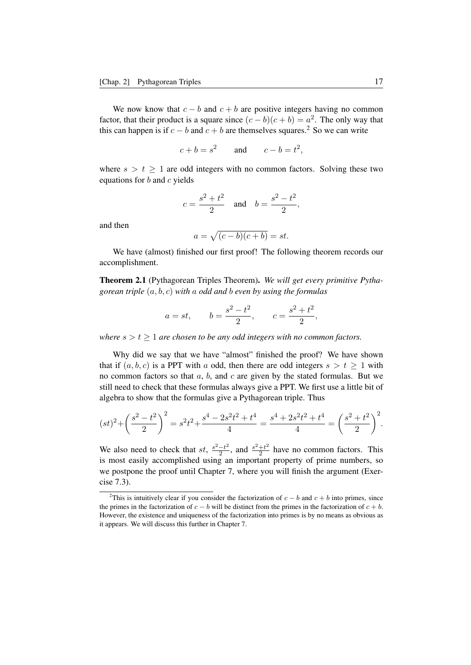We now know that  $c - b$  and  $c + b$  are positive integers having no common factor, that their product is a square since  $(c - b)(c + b) = a^2$ . The only way that this can happen is if  $c - b$  and  $c + b$  are themselves squares.<sup>2</sup> So we can write

$$
c + b = s^2 \qquad \text{and} \qquad c - b = t^2,
$$

where  $s > t > 1$  are odd integers with no common factors. Solving these two equations for *b* and *c* yields

$$
c = \frac{s^2 + t^2}{2}
$$
 and  $b = \frac{s^2 - t^2}{2}$ ,

and then

$$
a = \sqrt{(c-b)(c+b)} = st.
$$

We have (almost) finished our first proof! The following theorem records our accomplishment.

Theorem 2.1 (Pythagorean Triples Theorem). *We will get every primitive Pythagorean triple* (*a, b, c*) *with a odd and b even by using the formulas*

$$
a = st
$$
,  $b = \frac{s^2 - t^2}{2}$ ,  $c = \frac{s^2 + t^2}{2}$ ,

*where*  $s > t \geq 1$  *are chosen to be any odd integers with no common factors.* 

Why did we say that we have "almost" finished the proof? We have shown that if  $(a, b, c)$  is a PPT with a odd, then there are odd integers  $s > t \geq 1$  with no common factors so that *a*, *b*, and *c* are given by the stated formulas. But we still need to check that these formulas always give a PPT. We first use a little bit of algebra to show that the formulas give a Pythagorean triple. Thus

$$
(st)^{2} + \left(\frac{s^{2} - t^{2}}{2}\right)^{2} = s^{2}t^{2} + \frac{s^{4} - 2s^{2}t^{2} + t^{4}}{4} = \frac{s^{4} + 2s^{2}t^{2} + t^{4}}{4} = \left(\frac{s^{2} + t^{2}}{2}\right)^{2}.
$$

We also need to check that  $st$ ,  $\frac{s^2-t^2}{2}$  $\frac{-t^2}{2}$ , and  $\frac{s^2+t^2}{2}$  $\frac{+t^2}{2}$  have no common factors. This is most easily accomplished using an important property of prime numbers, so we postpone the proof until Chapter 7, where you will finish the argument (Exercise 7.3).

<sup>&</sup>lt;sup>2</sup>This is intuitively clear if you consider the factorization of  $c - b$  and  $c + b$  into primes, since the primes in the factorization of  $c - b$  will be distinct from the primes in the factorization of  $c + b$ . However, the existence and uniqueness of the factorization into primes is by no means as obvious as it appears. We will discuss this further in Chapter 7.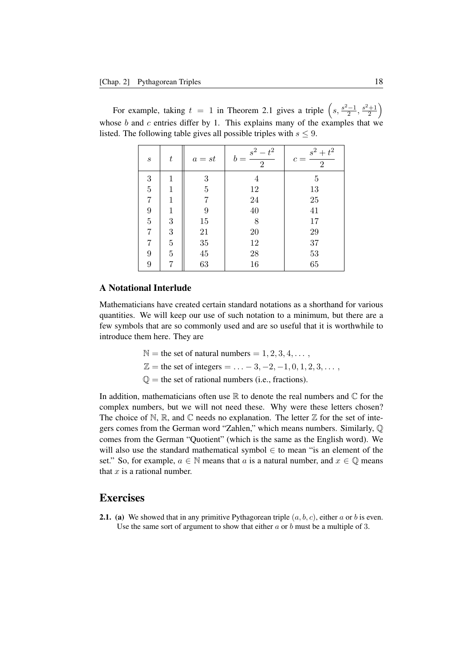| $\boldsymbol{S}$ | $t\,$            | $a = st$       | $s^2 - t^2$<br>$\overline{2}$ | $s^2 + t^2$<br>$c =$<br>$\overline{2}$ |
|------------------|------------------|----------------|-------------------------------|----------------------------------------|
| $\sqrt{3}$       | 1                | $\sqrt{3}$     | $\overline{4}$                | 5                                      |
| $\overline{5}$   | 1                | $\overline{5}$ | $12\,$                        | 13                                     |
| 7                | 1                |                | $24\,$                        | $25\,$                                 |
| 9                | 1                | 9              | 40                            | 41                                     |
| $\overline{5}$   | 3                | 15             | 8                             | 17                                     |
| 7                | $\boldsymbol{3}$ | $21\,$         | $20\,$                        | $\,29$                                 |
|                  | $\bf 5$          | $35\,$         | $12\,$                        | $37\,$                                 |
| 9                | $\overline{5}$   | $45\,$         | $28\,$                        | $53\,$                                 |
| 9                |                  | 63             | 16                            | 65                                     |

For example, taking  $t = 1$  in Theorem 2.1 gives a triple  $\left(s, \frac{s^2-1}{2}, \frac{s^2+1}{2}\right)$ 2  $\lambda$ whose  $b$  and  $c$  entries differ by 1. This explains many of the examples that we listed. The following table gives all possible triples with  $s \leq 9$ .

#### A Notational Interlude

Mathematicians have created certain standard notations as a shorthand for various quantities. We will keep our use of such notation to a minimum, but there are a few symbols that are so commonly used and are so useful that it is worthwhile to introduce them here. They are

> $N =$  the set of natural numbers  $= 1, 2, 3, 4, \ldots$ Z = the set of integers = *. . . −* 3*, −*2*, −*1*,* 0*,* 1*,* 2*,* 3*, . . . ,*

 $\mathbb{Q}$  = the set of rational numbers (i.e., fractions).

In addition, mathematicians often use  $\mathbb R$  to denote the real numbers and  $\mathbb C$  for the complex numbers, but we will not need these. Why were these letters chosen? The choice of N, R, and C needs no explanation. The letter  $\mathbb Z$  for the set of integers comes from the German word "Zahlen," which means numbers. Similarly, Q comes from the German "Quotient" (which is the same as the English word). We will also use the standard mathematical symbol *∈* to mean "is an element of the set." So, for example,  $a \in \mathbb{N}$  means that  $a$  is a natural number, and  $x \in \mathbb{Q}$  means that *x* is a rational number.

### **Exercises**

**2.1.** (a) We showed that in any primitive Pythagorean triple  $(a, b, c)$ , either  $a$  or  $b$  is even. Use the same sort of argument to show that either *a* or *b* must be a multiple of 3.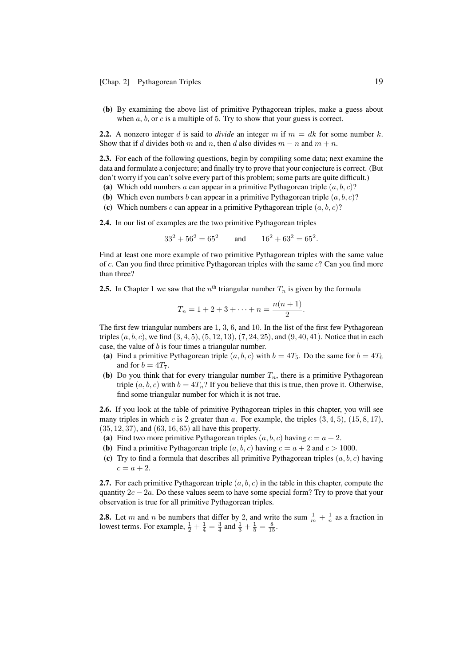(b) By examining the above list of primitive Pythagorean triples, make a guess about when  $a, b,$  or  $c$  is a multiple of 5. Try to show that your guess is correct.

2.2. A nonzero integer *d* is said to *divide* an integer *m* if *m* = *dk* for some number *k*. Show that if *d* divides both *m* and *n*, then *d* also divides  $m - n$  and  $m + n$ .

2.3. For each of the following questions, begin by compiling some data; next examine the data and formulate a conjecture; and finally try to prove that your conjecture is correct. (But don't worry if you can't solve every part of this problem; some parts are quite difficult.)

- (a) Which odd numbers *a* can appear in a primitive Pythagorean triple (*a, b, c*)?
- (b) Which even numbers *b* can appear in a primitive Pythagorean triple (*a, b, c*)?
- (c) Which numbers *c* can appear in a primitive Pythagorean triple (*a, b, c*)?

2.4. In our list of examples are the two primitive Pythagorean triples

 $33^2 + 56^2 = 65^2$  and  $16^2 + 63^2 = 65^2$ .

Find at least one more example of two primitive Pythagorean triples with the same value of *c*. Can you find three primitive Pythagorean triples with the same *c*? Can you find more than three?

**2.5.** In Chapter 1 we saw that the  $n^{\text{th}}$  triangular number  $T_n$  is given by the formula

$$
T_n = 1 + 2 + 3 + \dots + n = \frac{n(n+1)}{2}.
$$

The first few triangular numbers are 1, 3, 6, and 10. In the list of the first few Pythagorean triples (*a, b, c*), we find (3*,* 4*,* 5), (5*,* 12*,* 13), (7*,* 24*,* 25), and (9*,* 40*,* 41). Notice that in each case, the value of *b* is four times a triangular number.

- (a) Find a primitive Pythagorean triple  $(a, b, c)$  with  $b = 4T_5$ . Do the same for  $b = 4T_6$ and for  $b = 4T_7$ .
- (b) Do you think that for every triangular number  $T_n$ , there is a primitive Pythagorean triple  $(a, b, c)$  with  $b = 4T_n$ ? If you believe that this is true, then prove it. Otherwise, find some triangular number for which it is not true.

2.6. If you look at the table of primitive Pythagorean triples in this chapter, you will see many triples in which *c* is 2 greater than *a*. For example, the triples  $(3, 4, 5)$ ,  $(15, 8, 17)$ , (35*,* 12*,* 37), and (63*,* 16*,* 65) all have this property.

- (a) Find two more primitive Pythagorean triples  $(a, b, c)$  having  $c = a + 2$ .
- (**b**) Find a primitive Pythagorean triple  $(a, b, c)$  having  $c = a + 2$  and  $c > 1000$ .
- (c) Try to find a formula that describes all primitive Pythagorean triples (*a, b, c*) having  $c = a + 2.$

2.7. For each primitive Pythagorean triple (*a, b, c*) in the table in this chapter, compute the quantity 2*c −* 2*a*. Do these values seem to have some special form? Try to prove that your observation is true for all primitive Pythagorean triples.

**2.8.** Let *m* and *n* be numbers that differ by 2, and write the sum  $\frac{1}{m} + \frac{1}{n}$  as a fraction in lowest terms. For example,  $\frac{1}{2} + \frac{1}{4} = \frac{3}{4}$  and  $\frac{1}{3} + \frac{1}{5} = \frac{8}{15}$ .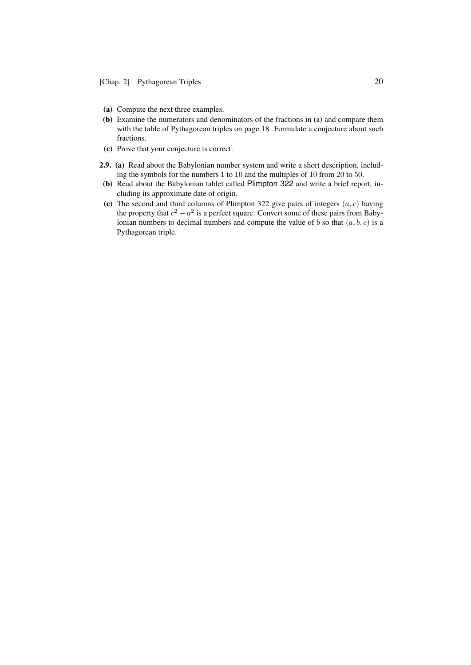- (a) Compute the next three examples.
- (b) Examine the numerators and denominators of the fractions in (a) and compare them with the table of Pythagorean triples on page 18. Formulate a conjecture about such fractions.
- (c) Prove that your conjecture is correct.
- 2.9. (a) Read about the Babylonian number system and write a short description, including the symbols for the numbers 1 to 10 and the multiples of 10 from 20 to 50.
- (b) Read about the Babylonian tablet called Plimpton 322 and write a brief report, including its approximate date of origin.
- (c) The second and third columns of Plimpton 322 give pairs of integers (*a, c*) having the property that  $c^2 - a^2$  is a perfect square. Convert some of these pairs from Babylonian numbers to decimal numbers and compute the value of  $b$  so that  $(a, b, c)$  is a Pythagorean triple.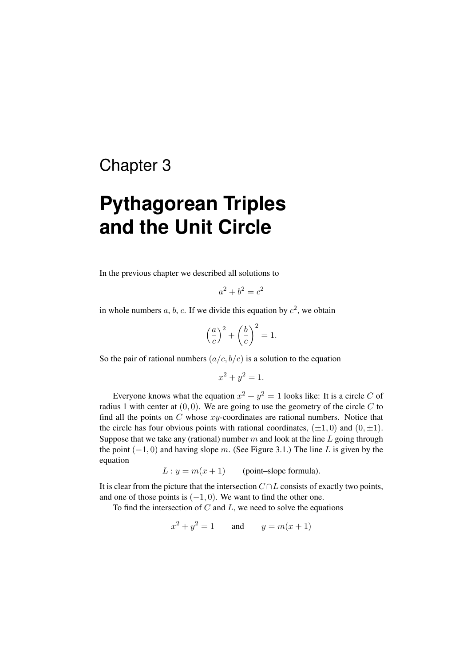### Chapter 3

# **Pythagorean Triples and the Unit Circle**

In the previous chapter we described all solutions to

$$
a^2 + b^2 = c^2
$$

in whole numbers  $a, b, c$ . If we divide this equation by  $c^2$ , we obtain

$$
\left(\frac{a}{c}\right)^2 + \left(\frac{b}{c}\right)^2 = 1.
$$

So the pair of rational numbers  $(a/c, b/c)$  is a solution to the equation

$$
x^2 + y^2 = 1.
$$

Everyone knows what the equation  $x^2 + y^2 = 1$  looks like: It is a circle C of radius 1 with center at  $(0, 0)$ . We are going to use the geometry of the circle  $C$  to find all the points on *C* whose *xy*-coordinates are rational numbers. Notice that the circle has four obvious points with rational coordinates,  $(\pm 1, 0)$  and  $(0, \pm 1)$ . Suppose that we take any (rational) number *m* and look at the line *L* going through the point (*−*1*,* 0) and having slope *m*. (See Figure 3.1.) The line *L* is given by the equation

$$
L: y = m(x + 1)
$$
 (point–slope formula).

It is clear from the picture that the intersection *C ∩L* consists of exactly two points, and one of those points is  $(-1, 0)$ . We want to find the other one.

To find the intersection of *C* and *L*, we need to solve the equations

 $x^2 + y^2 = 1$  and  $y = m(x+1)$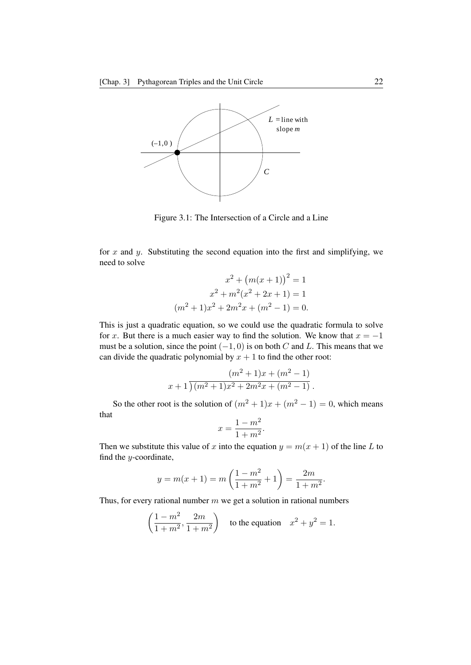

Figure 3.1: The Intersection of a Circle and a Line

for *x* and *y*. Substituting the second equation into the first and simplifying, we need to solve

$$
x^{2} + (m(x+1))^{2} = 1
$$

$$
x^{2} + m^{2}(x^{2} + 2x + 1) = 1
$$

$$
(m^{2} + 1)x^{2} + 2m^{2}x + (m^{2} - 1) = 0.
$$

This is just a quadratic equation, so we could use the quadratic formula to solve for *x*. But there is a much easier way to find the solution. We know that  $x = -1$ must be a solution, since the point (*−*1*,* 0) is on both *C* and *L*. This means that we can divide the quadratic polynomial by  $x + 1$  to find the other root:

$$
\frac{(m^2+1)x+(m^2-1)}{(m^2+1)x^2+2m^2x+(m^2-1)}.
$$

So the other root is the solution of  $(m^2 + 1)x + (m^2 - 1) = 0$ , which means that

$$
x = \frac{1 - m^2}{1 + m^2}.
$$

Then we substitute this value of *x* into the equation  $y = m(x + 1)$  of the line *L* to find the *y*-coordinate,

$$
y = m(x+1) = m\left(\frac{1-m^2}{1+m^2} + 1\right) = \frac{2m}{1+m^2}.
$$

Thus, for every rational number *m* we get a solution in rational numbers

$$
\left(\frac{1-m^2}{1+m^2}, \frac{2m}{1+m^2}\right)
$$
 to the equation  $x^2 + y^2 = 1$ .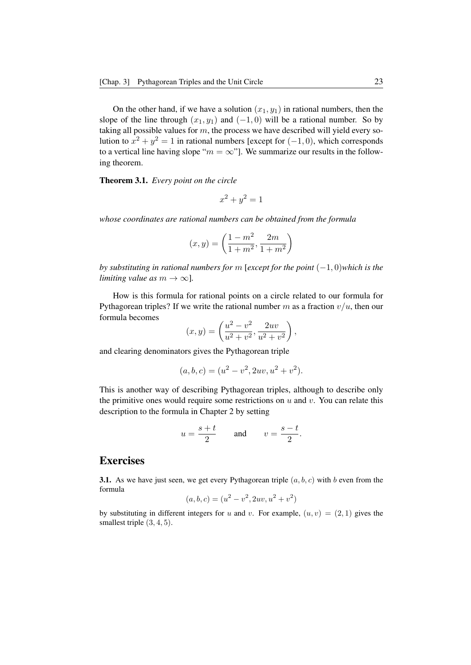On the other hand, if we have a solution  $(x_1, y_1)$  in rational numbers, then the slope of the line through  $(x_1, y_1)$  and  $(-1, 0)$  will be a rational number. So by taking all possible values for *m*, the process we have described will yield every solution to  $x^2 + y^2 = 1$  in rational numbers [except for  $(-1, 0)$ , which corresponds to a vertical line having slope " $m = \infty$ "]. We summarize our results in the following theorem.

Theorem 3.1. *Every point on the circle*

$$
x^2 + y^2 = 1
$$

*whose coordinates are rational numbers can be obtained from the formula*

$$
(x,y) = \left(\frac{1-m^2}{1+m^2}, \frac{2m}{1+m^2}\right)
$$

*by substituting in rational numbers for m* [*except for the point* (*−*1*,* 0)*which is the limiting value as*  $m \to \infty$ *).* 

How is this formula for rational points on a circle related to our formula for Pythagorean triples? If we write the rational number *m* as a fraction *v/u*, then our formula becomes

$$
(x,y) = \left(\frac{u^2 - v^2}{u^2 + v^2}, \frac{2uv}{u^2 + v^2}\right),\,
$$

and clearing denominators gives the Pythagorean triple

$$
(a, b, c) = (u2 – v2, 2uv, u2 + v2).
$$

This is another way of describing Pythagorean triples, although to describe only the primitive ones would require some restrictions on *u* and *v*. You can relate this description to the formula in Chapter 2 by setting

$$
u = \frac{s+t}{2} \qquad \text{and} \qquad v = \frac{s-t}{2}.
$$

#### **Exercises**

3.1. As we have just seen, we get every Pythagorean triple (*a, b, c*) with *b* even from the formula

$$
(a, b, c) = (u2 – v2, 2uv, u2 + v2)
$$

by substituting in different integers for *u* and *v*. For example,  $(u, v) = (2, 1)$  gives the smallest triple (3*,* 4*,* 5).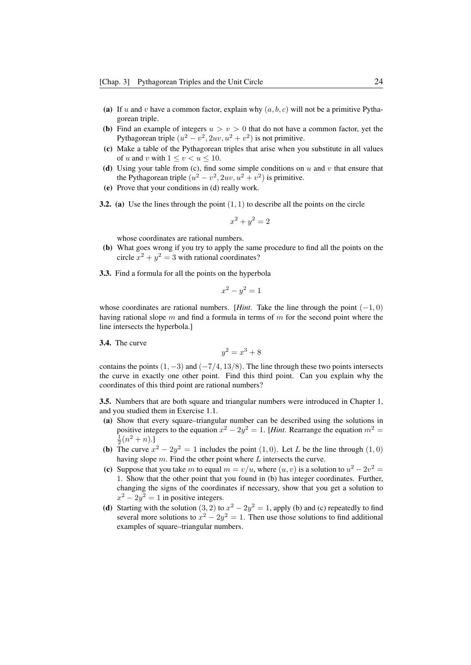- (a) If  $u$  and  $v$  have a common factor, explain why  $(a, b, c)$  will not be a primitive Pythagorean triple.
- (b) Find an example of integers  $u > v > 0$  that do not have a common factor, yet the Pythagorean triple  $(u^2 - v^2, 2uv, u^2 + v^2)$  is not primitive.
- (c) Make a table of the Pythagorean triples that arise when you substitute in all values of *u* and *v* with  $1 \le v \le u \le 10$ .
- (d) Using your table from (c), find some simple conditions on  $u$  and  $v$  that ensure that the Pythagorean triple  $(u^2 - v^2, 2uv, u^2 + v^2)$  is primitive.
- (e) Prove that your conditions in (d) really work.
- 3.2. (a) Use the lines through the point (1*,* 1) to describe all the points on the circle

$$
x^2 + y^2 = 2
$$

whose coordinates are rational numbers.

- (b) What goes wrong if you try to apply the same procedure to find all the points on the circle  $x^2 + y^2 = 3$  with rational coordinates?
- 3.3. Find a formula for all the points on the hyperbola

$$
x^2 - y^2 = 1
$$

whose coordinates are rational numbers. [*Hint*. Take the line through the point (*−*1*,* 0) having rational slope *m* and find a formula in terms of *m* for the second point where the line intersects the hyperbola.]

3.4. The curve

$$
y^2 = x^3 + 8
$$

contains the points (1*, −*3) and (*−*7*/*4*,* 13*/*8). The line through these two points intersects the curve in exactly one other point. Find this third point. Can you explain why the coordinates of this third point are rational numbers?

3.5. Numbers that are both square and triangular numbers were introduced in Chapter 1, and you studied them in Exercise 1.1.

- (a) Show that every square–triangular number can be described using the solutions in positive integers to the equation  $x^2 - 2y^2 = 1$ . [*Hint*. Rearrange the equation  $m^2 =$  $\frac{1}{2}(n^2 + n).$
- (**b**) The curve  $x^2 2y^2 = 1$  includes the point  $(1, 0)$ . Let *L* be the line through  $(1, 0)$ having slope *m*. Find the other point where *L* intersects the curve.
- (c) Suppose that you take *m* to equal  $m = v/u$ , where  $(u, v)$  is a solution to  $u^2 2v^2 =$ 1. Show that the other point that you found in (b) has integer coordinates. Further, changing the signs of the coordinates if necessary, show that you get a solution to  $x^2 - 2y^2 = 1$  in positive integers.
- (d) Starting with the solution  $(3, 2)$  to  $x^2 2y^2 = 1$ , apply (b) and (c) repeatedly to find several more solutions to  $x^2 - 2y^2 = 1$ . Then use those solutions to find additional examples of square–triangular numbers.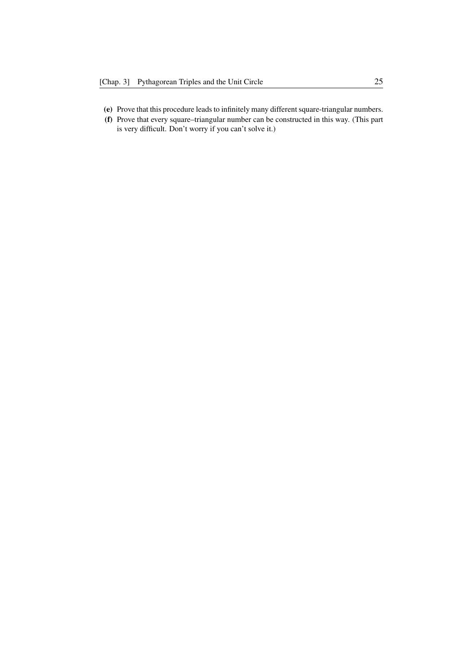- (e) Prove that this procedure leads to infinitely many different square-triangular numbers.
- (f) Prove that every square–triangular number can be constructed in this way. (This part is very difficult. Don't worry if you can't solve it.)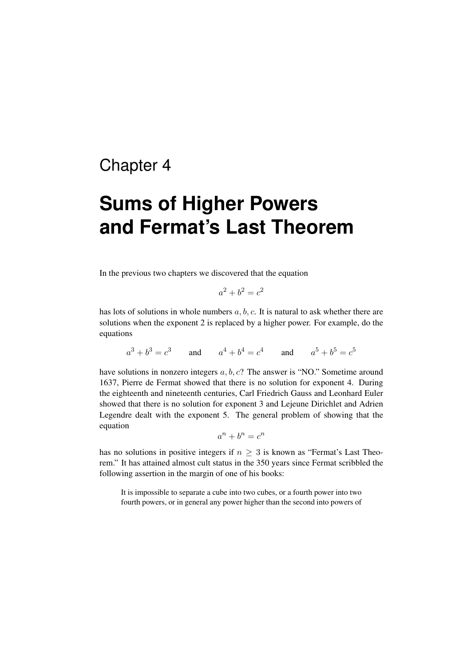### Chapter 4

## **Sums of Higher Powers and Fermat's Last Theorem**

In the previous two chapters we discovered that the equation

$$
a^2 + b^2 = c^2
$$

has lots of solutions in whole numbers *a, b, c*. It is natural to ask whether there are solutions when the exponent 2 is replaced by a higher power. For example, do the equations

$$
a^3 + b^3 = c^3
$$
 and  $a^4 + b^4 = c^4$  and  $a^5 + b^5 = c^5$ 

have solutions in nonzero integers *a, b, c*? The answer is "NO." Sometime around 1637, Pierre de Fermat showed that there is no solution for exponent 4. During the eighteenth and nineteenth centuries, Carl Friedrich Gauss and Leonhard Euler showed that there is no solution for exponent 3 and Lejeune Dirichlet and Adrien Legendre dealt with the exponent 5. The general problem of showing that the equation

$$
a^n + b^n = c^n
$$

has no solutions in positive integers if  $n \geq 3$  is known as "Fermat's Last Theorem." It has attained almost cult status in the 350 years since Fermat scribbled the following assertion in the margin of one of his books:

It is impossible to separate a cube into two cubes, or a fourth power into two fourth powers, or in general any power higher than the second into powers of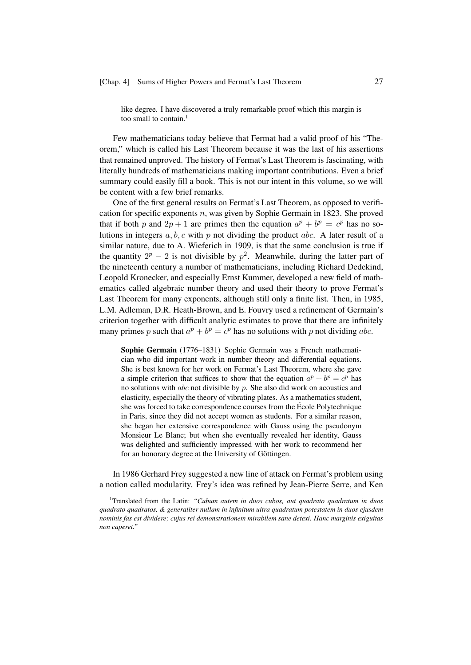like degree. I have discovered a truly remarkable proof which this margin is too small to contain. $<sup>1</sup>$ </sup>

Few mathematicians today believe that Fermat had a valid proof of his "Theorem," which is called his Last Theorem because it was the last of his assertions that remained unproved. The history of Fermat's Last Theorem is fascinating, with literally hundreds of mathematicians making important contributions. Even a brief summary could easily fill a book. This is not our intent in this volume, so we will be content with a few brief remarks.

One of the first general results on Fermat's Last Theorem, as opposed to verification for specific exponents *n*, was given by Sophie Germain in 1823. She proved that if both *p* and  $2p + 1$  are primes then the equation  $a^p + b^p = c^p$  has no solutions in integers *a, b, c* with *p* not dividing the product *abc*. A later result of a similar nature, due to A. Wieferich in 1909, is that the same conclusion is true if the quantity  $2^p - 2$  is not divisible by  $p^2$ . Meanwhile, during the latter part of the nineteenth century a number of mathematicians, including Richard Dedekind, Leopold Kronecker, and especially Ernst Kummer, developed a new field of mathematics called algebraic number theory and used their theory to prove Fermat's Last Theorem for many exponents, although still only a finite list. Then, in 1985, L.M. Adleman, D.R. Heath-Brown, and E. Fouvry used a refinement of Germain's criterion together with difficult analytic estimates to prove that there are infinitely many primes p such that  $a^p + b^p = c^p$  has no solutions with p not dividing abc.

Sophie Germain (1776–1831) Sophie Germain was a French mathematician who did important work in number theory and differential equations. She is best known for her work on Fermat's Last Theorem, where she gave a simple criterion that suffices to show that the equation  $a^p + b^p = c^p$  has no solutions with *abc* not divisible by *p*. She also did work on acoustics and elasticity, especially the theory of vibrating plates. As a mathematics student, she was forced to take correspondence courses from the École Polytechnique in Paris, since they did not accept women as students. For a similar reason, she began her extensive correspondence with Gauss using the pseudonym Monsieur Le Blanc; but when she eventually revealed her identity, Gauss was delighted and sufficiently impressed with her work to recommend her for an honorary degree at the University of Göttingen.

In 1986 Gerhard Frey suggested a new line of attack on Fermat's problem using a notion called modularity. Frey's idea was refined by Jean-Pierre Serre, and Ken

<sup>1</sup>Translated from the Latin: "*Cubum autem in duos cubos, aut quadrato quadratum in duos quadrato quadratos, & generaliter nullam in infinitum ultra quadratum potestatem in duos ejusdem nominis fas est dividere; cujus rei demonstrationem mirabilem sane detexi. Hanc marginis exiguitas non caperet.*"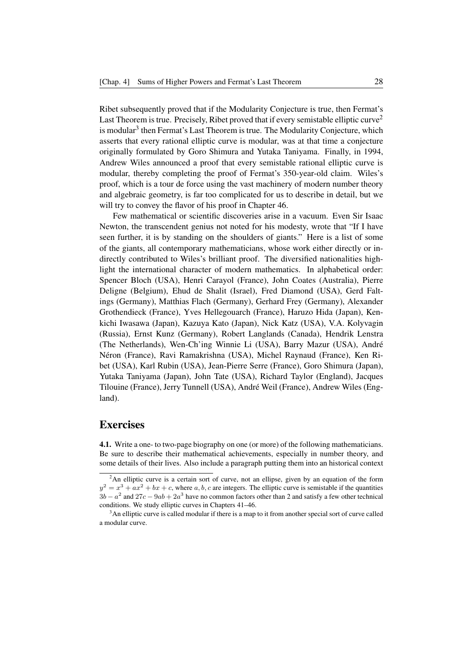Ribet subsequently proved that if the Modularity Conjecture is true, then Fermat's Last Theorem is true. Precisely, Ribet proved that if every semistable elliptic curve<sup>2</sup> is modular<sup>3</sup> then Fermat's Last Theorem is true. The Modularity Conjecture, which asserts that every rational elliptic curve is modular, was at that time a conjecture originally formulated by Goro Shimura and Yutaka Taniyama. Finally, in 1994, Andrew Wiles announced a proof that every semistable rational elliptic curve is modular, thereby completing the proof of Fermat's 350-year-old claim. Wiles's proof, which is a tour de force using the vast machinery of modern number theory and algebraic geometry, is far too complicated for us to describe in detail, but we will try to convey the flavor of his proof in Chapter 46.

Few mathematical or scientific discoveries arise in a vacuum. Even Sir Isaac Newton, the transcendent genius not noted for his modesty, wrote that "If I have seen further, it is by standing on the shoulders of giants." Here is a list of some of the giants, all contemporary mathematicians, whose work either directly or indirectly contributed to Wiles's brilliant proof. The diversified nationalities highlight the international character of modern mathematics. In alphabetical order: Spencer Bloch (USA), Henri Carayol (France), John Coates (Australia), Pierre Deligne (Belgium), Ehud de Shalit (Israel), Fred Diamond (USA), Gerd Faltings (Germany), Matthias Flach (Germany), Gerhard Frey (Germany), Alexander Grothendieck (France), Yves Hellegouarch (France), Haruzo Hida (Japan), Kenkichi Iwasawa (Japan), Kazuya Kato (Japan), Nick Katz (USA), V.A. Kolyvagin (Russia), Ernst Kunz (Germany), Robert Langlands (Canada), Hendrik Lenstra (The Netherlands), Wen-Ch'ing Winnie Li (USA), Barry Mazur (USA), Andre´ Néron (France), Ravi Ramakrishna (USA), Michel Raynaud (France), Ken Ribet (USA), Karl Rubin (USA), Jean-Pierre Serre (France), Goro Shimura (Japan), Yutaka Taniyama (Japan), John Tate (USA), Richard Taylor (England), Jacques Tilouine (France), Jerry Tunnell (USA), Andre Weil (France), Andrew Wiles (Eng- ´ land).

#### **Exercises**

4.1. Write a one- to two-page biography on one (or more) of the following mathematicians. Be sure to describe their mathematical achievements, especially in number theory, and some details of their lives. Also include a paragraph putting them into an historical context

 $2<sup>2</sup>$ An elliptic curve is a certain sort of curve, not an ellipse, given by an equation of the form  $y^2 = x^3 + ax^2 + bx + c$ , where *a*, *b*, *c* are integers. The elliptic curve is semistable if the quantities  $3b - a^2$  and  $27c - 9ab + 2a^3$  have no common factors other than 2 and satisfy a few other technical conditions. We study elliptic curves in Chapters 41–46.

<sup>&</sup>lt;sup>3</sup>An elliptic curve is called modular if there is a map to it from another special sort of curve called a modular curve.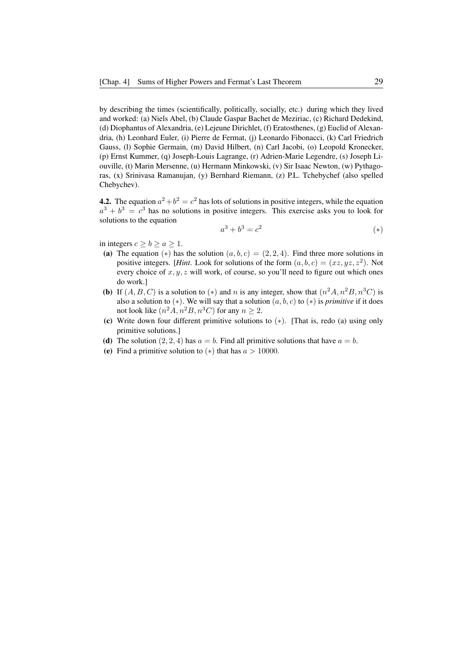by describing the times (scientifically, politically, socially, etc.) during which they lived and worked: (a) Niels Abel, (b) Claude Gaspar Bachet de Meziriac, (c) Richard Dedekind, (d) Diophantus of Alexandria, (e) Lejeune Dirichlet, (f) Eratosthenes, (g) Euclid of Alexandria, (h) Leonhard Euler, (i) Pierre de Fermat, (j) Leonardo Fibonacci, (k) Carl Friedrich Gauss, (l) Sophie Germain, (m) David Hilbert, (n) Carl Jacobi, (o) Leopold Kronecker, (p) Ernst Kummer, (q) Joseph-Louis Lagrange, (r) Adrien-Marie Legendre, (s) Joseph Liouville, (t) Marin Mersenne, (u) Hermann Minkowski, (v) Sir Isaac Newton, (w) Pythagoras, (x) Srinivasa Ramanujan, (y) Bernhard Riemann, (z) P.L. Tchebychef (also spelled Chebychev).

**4.2.** The equation  $a^2 + b^2 = c^2$  has lots of solutions in positive integers, while the equation  $a^3 + b^3 = c^3$  has no solutions in positive integers. This exercise asks you to look for solutions to the equation

$$
a^3 + b^3 = c^2 \tag{*}
$$

in integers  $c \geq b \geq a \geq 1$ .

- (a) The equation  $(*)$  has the solution  $(a, b, c) = (2, 2, 4)$ . Find three more solutions in positive integers. [*Hint*. Look for solutions of the form  $(a, b, c) = (xz, yz, z^2)$ . Not every choice of *x, y, z* will work, of course, so you'll need to figure out which ones do work.]
- (**b**) If  $(A, B, C)$  is a solution to  $(*)$  and *n* is any integer, show that  $(n^2A, n^2B, n^3C)$  is also a solution to (*∗*). We will say that a solution (*a, b, c*) to (*∗*) is *primitive* if it does not look like  $(n^2A, n^2B, n^3C)$  for any  $n \ge 2$ .
- (c) Write down four different primitive solutions to (*∗*). [That is, redo (a) using only primitive solutions.]
- (d) The solution  $(2, 2, 4)$  has  $a = b$ . Find all primitive solutions that have  $a = b$ .
- (e) Find a primitive solution to (*∗*) that has *a >* 10000.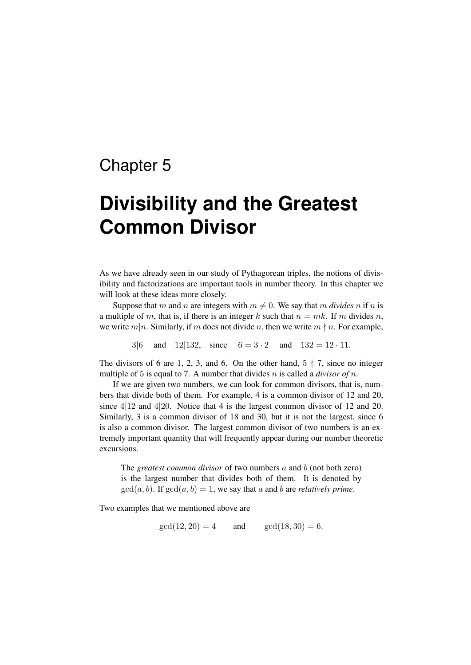### Chapter 5

## **Divisibility and the Greatest Common Divisor**

As we have already seen in our study of Pythagorean triples, the notions of divisibility and factorizations are important tools in number theory. In this chapter we will look at these ideas more closely.

Suppose that *m* and *n* are integers with  $m \neq 0$ . We say that *m divides n* if *n* is a multiple of *m*, that is, if there is an integer *k* such that  $n = mk$ . If *m* divides *n*, we write  $m|n$ . Similarly, if m does not divide n, then we write  $m \nmid n$ . For example,

 $3|6$  and  $12|132$ , since  $6 = 3 \cdot 2$  and  $132 = 12 \cdot 11$ .

The divisors of 6 are 1, 2, 3, and 6. On the other hand,  $5 \nmid 7$ , since no integer multiple of 5 is equal to 7. A number that divides *n* is called a *divisor of n*.

If we are given two numbers, we can look for common divisors, that is, numbers that divide both of them. For example, 4 is a common divisor of 12 and 20, since 4*|*12 and 4*|*20. Notice that 4 is the largest common divisor of 12 and 20. Similarly, 3 is a common divisor of 18 and 30, but it is not the largest, since 6 is also a common divisor. The largest common divisor of two numbers is an extremely important quantity that will frequently appear during our number theoretic excursions.

The *greatest common divisor* of two numbers *a* and *b* (not both zero) is the largest number that divides both of them. It is denoted by  $gcd(a, b)$ . If  $gcd(a, b) = 1$ , we say that *a* and *b* are *relatively prime*.

Two examples that we mentioned above are

 $gcd(12, 20) = 4$  and  $gcd(18, 30) = 6$ .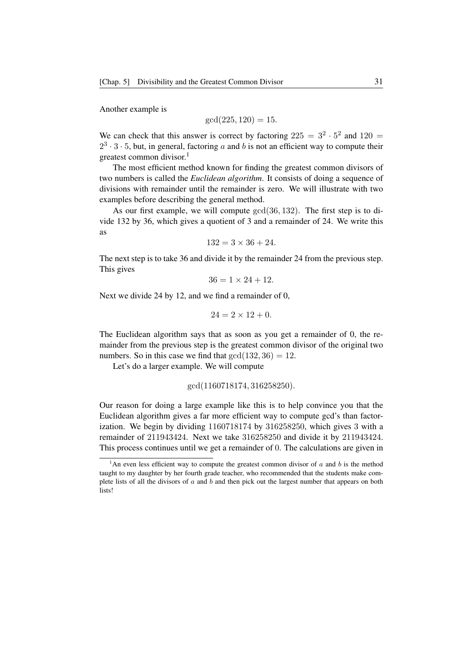Another example is

$$
\gcd(225, 120) = 15.
$$

We can check that this answer is correct by factoring  $225 = 3^2 \cdot 5^2$  and  $120 =$  $2^3 \cdot 3 \cdot 5$ , but, in general, factoring *a* and *b* is not an efficient way to compute their greatest common divisor.<sup>1</sup>

The most efficient method known for finding the greatest common divisors of two numbers is called the *Euclidean algorithm*. It consists of doing a sequence of divisions with remainder until the remainder is zero. We will illustrate with two examples before describing the general method.

As our first example, we will compute gcd(36*,* 132). The first step is to divide 132 by 36, which gives a quotient of 3 and a remainder of 24. We write this as

$$
132 = 3 \times 36 + 24.
$$

The next step is to take 36 and divide it by the remainder 24 from the previous step. This gives

 $36 = 1 \times 24 + 12$ .

Next we divide 24 by 12, and we find a remainder of 0,

$$
24 = 2 \times 12 + 0.
$$

The Euclidean algorithm says that as soon as you get a remainder of 0, the remainder from the previous step is the greatest common divisor of the original two numbers. So in this case we find that  $gcd(132, 36) = 12$ .

Let's do a larger example. We will compute

gcd(1160718174*,* 316258250)*.*

Our reason for doing a large example like this is to help convince you that the Euclidean algorithm gives a far more efficient way to compute gcd's than factorization. We begin by dividing 1160718174 by 316258250, which gives 3 with a remainder of 211943424. Next we take 316258250 and divide it by 211943424. This process continues until we get a remainder of 0. The calculations are given in

<sup>&</sup>lt;sup>1</sup>An even less efficient way to compute the greatest common divisor of *a* and *b* is the method taught to my daughter by her fourth grade teacher, who recommended that the students make complete lists of all the divisors of *a* and *b* and then pick out the largest number that appears on both lists!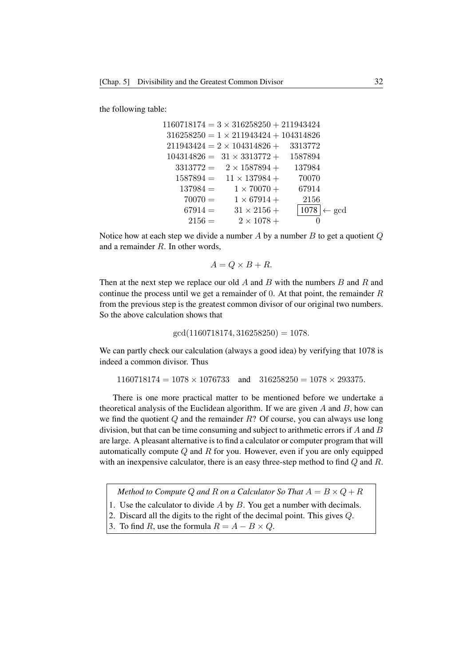the following table:

$$
1160718174 = 3 \times 316258250 + 211943424
$$
\n
$$
316258250 = 1 \times 211943424 + 104314826
$$
\n
$$
211943424 = 2 \times 104314826 + 3313772
$$
\n
$$
104314826 = 31 \times 3313772 + 1587894
$$
\n
$$
3313772 = 2 \times 1587894 + 137984
$$
\n
$$
1587894 = 11 \times 137984 + 70070
$$
\n
$$
137984 = 1 \times 70070 + 67914
$$
\n
$$
70070 = 1 \times 67914 + 2156
$$
\n
$$
67914 = 31 \times 2156 + 1078 + 67914
$$
\n
$$
2156 = 2 \times 1078 + 0
$$

Notice how at each step we divide a number *A* by a number *B* to get a quotient *Q* and a remainder *R*. In other words,

$$
A = Q \times B + R.
$$

Then at the next step we replace our old *A* and *B* with the numbers *B* and *R* and continue the process until we get a remainder of 0. At that point, the remainder *R* from the previous step is the greatest common divisor of our original two numbers. So the above calculation shows that

$$
\gcd(1160718174, 316258250) = 1078.
$$

We can partly check our calculation (always a good idea) by verifying that 1078 is indeed a common divisor. Thus

$$
1160718174 = 1078 \times 1076733 \quad \text{and} \quad 316258250 = 1078 \times 293375.
$$

There is one more practical matter to be mentioned before we undertake a theoretical analysis of the Euclidean algorithm. If we are given *A* and *B*, how can we find the quotient *Q* and the remainder *R*? Of course, you can always use long division, but that can be time consuming and subject to arithmetic errors if *A* and *B* are large. A pleasant alternative is to find a calculator or computer program that will automatically compute *Q* and *R* for you. However, even if you are only equipped with an inexpensive calculator, there is an easy three-step method to find *Q* and *R*.

- *Method to Compute Q and R on a Calculator So That*  $A = B \times Q + R$
- 1. Use the calculator to divide *A* by *B*. You get a number with decimals.
- 2. Discard all the digits to the right of the decimal point. This gives *Q*.
- 3. To find *R*, use the formula  $R = A B \times Q$ .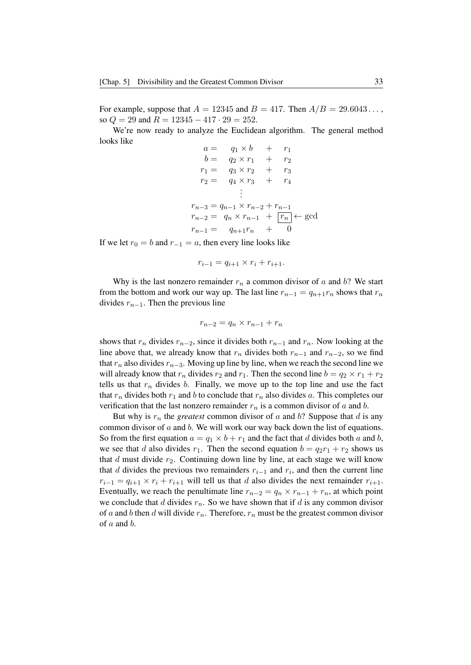For example, suppose that  $A = 12345$  and  $B = 417$ . Then  $A/B = 29.6043...$ , so *Q* = 29 and *R* = 12345 *−* 417 *·* 29 = 252.

We're now ready to analyze the Euclidean algorithm. The general method looks like

$$
a = q_1 \times b + r_1
$$
  
\n
$$
b = q_2 \times r_1 + r_2
$$
  
\n
$$
r_1 = q_3 \times r_2 + r_3
$$
  
\n
$$
r_2 = q_4 \times r_3 + r_4
$$
  
\n
$$
\vdots
$$
  
\n
$$
r_{n-3} = q_{n-1} \times r_{n-2} + r_{n-1}
$$
  
\n
$$
r_{n-2} = q_n \times r_{n-1} + \boxed{r_n} \leftarrow \gcd
$$
  
\n
$$
r_{n-1} = q_{n+1}r_n + 0
$$

If we let  $r_0 = b$  and  $r_{-1} = a$ , then every line looks like

$$
r_{i-1} = q_{i+1} \times r_i + r_{i+1}.
$$

Why is the last nonzero remainder  $r_n$  a common divisor of *a* and *b*? We start from the bottom and work our way up. The last line  $r_{n-1} = q_{n+1}r_n$  shows that  $r_n$ divides *rn−*1. Then the previous line

$$
r_{n-2} = q_n \times r_{n-1} + r_n
$$

shows that  $r_n$  divides  $r_{n-2}$ , since it divides both  $r_{n-1}$  and  $r_n$ . Now looking at the line above that, we already know that  $r_n$  divides both  $r_{n-1}$  and  $r_{n-2}$ , so we find that  $r_n$  also divides  $r_{n-3}$ . Moving up line by line, when we reach the second line we will already know that  $r_n$  divides  $r_2$  and  $r_1$ . Then the second line  $b = q_2 \times r_1 + r_2$ tells us that  $r_n$  divides *b*. Finally, we move up to the top line and use the fact that  $r_n$  divides both  $r_1$  and *b* to conclude that  $r_n$  also divides *a*. This completes our verification that the last nonzero remainder  $r<sub>n</sub>$  is a common divisor of *a* and *b*.

But why is *r<sup>n</sup>* the *greatest* common divisor of *a* and *b*? Suppose that *d* is any common divisor of *a* and *b*. We will work our way back down the list of equations. So from the first equation  $a = q_1 \times b + r_1$  and the fact that *d* divides both *a* and *b*, we see that *d* also divides  $r_1$ . Then the second equation  $b = q_2 r_1 + r_2$  shows us that  $d$  must divide  $r_2$ . Continuing down line by line, at each stage we will know that *d* divides the previous two remainders  $r_{i-1}$  and  $r_i$ , and then the current line  $r_{i-1} = q_{i+1} \times r_i + r_{i+1}$  will tell us that *d* also divides the next remainder  $r_{i+1}$ . Eventually, we reach the penultimate line  $r_{n-2} = q_n \times r_{n-1} + r_n$ , at which point we conclude that *d* divides  $r_n$ . So we have shown that if *d* is any common divisor of *a* and *b* then *d* will divide  $r_n$ . Therefore,  $r_n$  must be the greatest common divisor of *a* and *b*.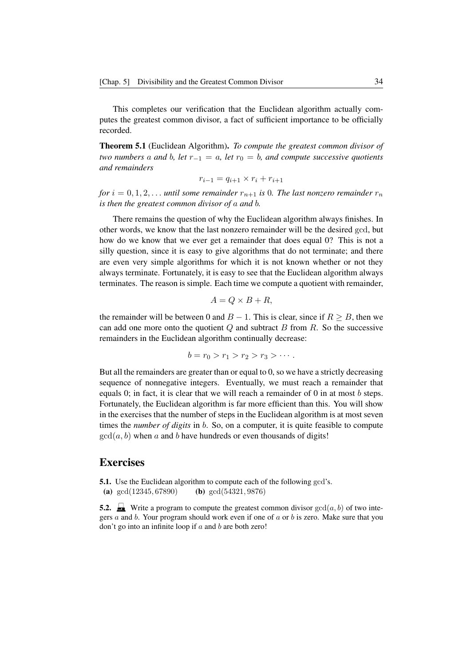This completes our verification that the Euclidean algorithm actually computes the greatest common divisor, a fact of sufficient importance to be officially recorded.

Theorem 5.1 (Euclidean Algorithm). *To compute the greatest common divisor of two numbers a and b, let r−*<sup>1</sup> = *a, let r*<sup>0</sup> = *b, and compute successive quotients and remainders*

$$
r_{i-1}=q_{i+1}\times r_i+r_{i+1}
$$

*for*  $i = 0, 1, 2, \ldots$  *until some remainder*  $r_{n+1}$  *is* 0*. The last nonzero remainder*  $r_n$ *is then the greatest common divisor of a and b.*

There remains the question of why the Euclidean algorithm always finishes. In other words, we know that the last nonzero remainder will be the desired gcd, but how do we know that we ever get a remainder that does equal 0? This is not a silly question, since it is easy to give algorithms that do not terminate; and there are even very simple algorithms for which it is not known whether or not they always terminate. Fortunately, it is easy to see that the Euclidean algorithm always terminates. The reason is simple. Each time we compute a quotient with remainder,

$$
A = Q \times B + R,
$$

the remainder will be between 0 and  $B - 1$ . This is clear, since if  $R \geq B$ , then we can add one more onto the quotient *Q* and subtract *B* from *R*. So the successive remainders in the Euclidean algorithm continually decrease:

$$
b = r_0 > r_1 > r_2 > r_3 > \cdots.
$$

But all the remainders are greater than or equal to 0, so we have a strictly decreasing sequence of nonnegative integers. Eventually, we must reach a remainder that equals 0; in fact, it is clear that we will reach a remainder of 0 in at most *b* steps. Fortunately, the Euclidean algorithm is far more efficient than this. You will show in the exercises that the number of steps in the Euclidean algorithm is at most seven times the *number of digits* in *b*. So, on a computer, it is quite feasible to compute  $gcd(a, b)$  when *a* and *b* have hundreds or even thousands of digits!

### **Exercises**

5.1. Use the Euclidean algorithm to compute each of the following gcd's. (a) gcd(12345*,* 67890) (b) gcd(54321*,* 9876)

5.2.  $\Box$  Write a program to compute the greatest common divisor  $gcd(a, b)$  of two integers *a* and *b*. Your program should work even if one of *a* or *b* is zero. Make sure that you don't go into an infinite loop if *a* and *b* are both zero!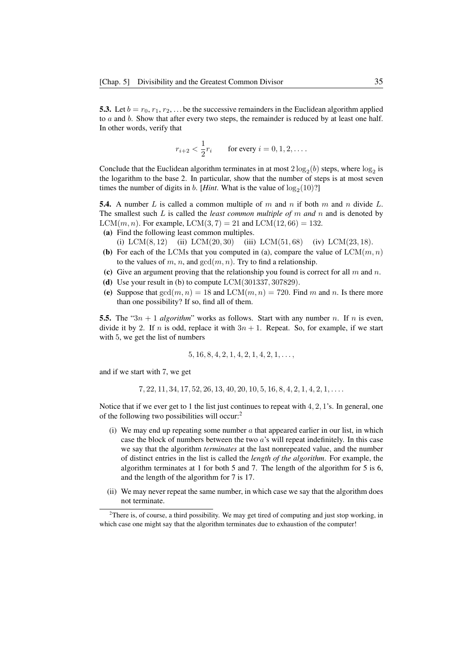5.3. Let  $b = r_0, r_1, r_2, \ldots$  be the successive remainders in the Euclidean algorithm applied to *a* and *b*. Show that after every two steps, the remainder is reduced by at least one half. In other words, verify that

$$
r_{i+2} < \frac{1}{2}r_i
$$
 for every  $i = 0, 1, 2, ...$ 

Conclude that the Euclidean algorithm terminates in at most  $2\log_2(b)$  steps, where  $\log_2$  is the logarithm to the base 2. In particular, show that the number of steps is at most seven times the number of digits in *b*. [*Hint*. What is the value of  $log_2(10)$ ?]

5.4. A number *L* is called a common multiple of *m* and *n* if both *m* and *n* divide *L*. The smallest such *L* is called the *least common multiple of m and n* and is denoted by  $LCM(m, n)$ . For example,  $LCM(3, 7) = 21$  and  $LCM(12, 66) = 132$ .

- (a) Find the following least common multiples.
	- (i) LCM(8*,* 12) (ii) LCM(20*,* 30) (iii) LCM(51*,* 68) (iv) LCM(23*,* 18).
- (b) For each of the LCMs that you computed in (a), compare the value of  $LCM(m, n)$ to the values of  $m$ ,  $n$ , and  $gcd(m, n)$ . Try to find a relationship.
- (c) Give an argument proving that the relationship you found is correct for all *m* and *n*.
- (d) Use your result in (b) to compute LCM(301337*,* 307829).
- (e) Suppose that  $gcd(m, n) = 18$  and  $LCM(m, n) = 720$ . Find m and n. Is there more than one possibility? If so, find all of them.

**5.5.** The " $3n + 1$  *algorithm*" works as follows. Start with any number *n*. If *n* is even, divide it by 2. If *n* is odd, replace it with  $3n + 1$ . Repeat. So, for example, if we start with 5, we get the list of numbers

$$
5, 16, 8, 4, 2, 1, 4, 2, 1, 4, 2, 1, \ldots,
$$

and if we start with 7, we get

7*,* 22*,* 11*,* 34*,* 17*,* 52*,* 26*,* 13*,* 40*,* 20*,* 10*,* 5*,* 16*,* 8*,* 4*,* 2*,* 1*,* 4*,* 2*,* 1*, . . . .*

Notice that if we ever get to 1 the list just continues to repeat with 4*,* 2*,* 1's. In general, one of the following two possibilities will occur:<sup>2</sup>

- (i) We may end up repeating some number *a* that appeared earlier in our list, in which case the block of numbers between the two *a*'s will repeat indefinitely. In this case we say that the algorithm *terminates* at the last nonrepeated value, and the number of distinct entries in the list is called the *length of the algorithm*. For example, the algorithm terminates at 1 for both 5 and 7. The length of the algorithm for 5 is 6, and the length of the algorithm for 7 is 17.
- (ii) We may never repeat the same number, in which case we say that the algorithm does not terminate.

 $2$ There is, of course, a third possibility. We may get tired of computing and just stop working, in which case one might say that the algorithm terminates due to exhaustion of the computer!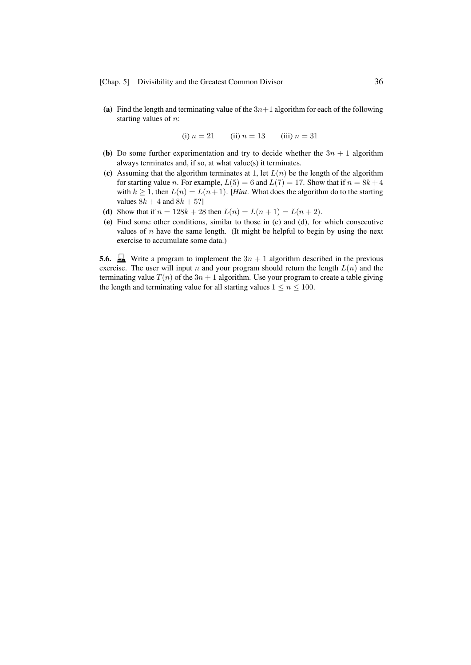(a) Find the length and terminating value of the  $3n+1$  algorithm for each of the following starting values of *n*:

(i) 
$$
n = 21
$$
 (ii)  $n = 13$  (iii)  $n = 31$ 

- (b) Do some further experimentation and try to decide whether the  $3n + 1$  algorithm always terminates and, if so, at what value(s) it terminates.
- (c) Assuming that the algorithm terminates at 1, let  $L(n)$  be the length of the algorithm for starting value *n*. For example,  $L(5) = 6$  and  $L(7) = 17$ . Show that if  $n = 8k + 4$ with  $k \geq 1$ , then  $L(n) = L(n+1)$ . [*Hint*. What does the algorithm do to the starting values  $8k + 4$  and  $8k + 5$ ?]
- (d) Show that if  $n = 128k + 28$  then  $L(n) = L(n + 1) = L(n + 2)$ .
- (e) Find some other conditions, similar to those in (c) and (d), for which consecutive values of  $n$  have the same length. (It might be helpful to begin by using the next exercise to accumulate some data.)

**5.6.** Write a program to implement the  $3n + 1$  algorithm described in the previous exercise. The user will input *n* and your program should return the length  $L(n)$  and the terminating value  $T(n)$  of the  $3n + 1$  algorithm. Use your program to create a table giving the length and terminating value for all starting values  $1 \le n \le 100$ .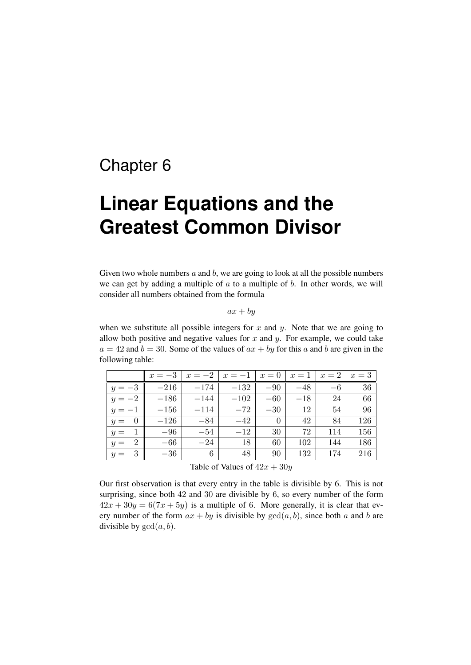### Chapter 6

## **Linear Equations and the Greatest Common Divisor**

Given two whole numbers *a* and *b*, we are going to look at all the possible numbers we can get by adding a multiple of *a* to a multiple of *b*. In other words, we will consider all numbers obtained from the formula

#### $ax + by$

when we substitute all possible integers for *x* and *y*. Note that we are going to allow both positive and negative values for *x* and *y*. For example, we could take  $a = 42$  and  $b = 30$ . Some of the values of  $ax + by$  for this *a* and *b* are given in the following table:

|                     | $x=-3$ | $x=-2$ | $x = -1$ | $x=0$    | $x=1$ | $x=2$ | $x=3$ |
|---------------------|--------|--------|----------|----------|-------|-------|-------|
| $y=-3$              | $-216$ | $-174$ | $-132$   | $-90$    | $-48$ | $-6$  | 36    |
| $y=-2$              | $-186$ | $-144$ | $-102$   | $-60$    | $-18$ | 24    | 66    |
| $y=-1$              | $-156$ | $-114$ | $-72$    | $-30$    | 12    | 54    | 96    |
| $y =$<br>$\bigcirc$ | $-126$ | $-84$  | $-42$    | $\theta$ | 42    | 84    | 126   |
| $y =$               | $-96$  | $-54$  | $-12$    | 30       | 72    | 114   | 156   |
| $y =$               | $-66$  | $-24$  | 18       | 60       | 102   | 144   | 186   |
| - 3<br>$y =$        | $-36$  | 6      | 48       | 90       | 132   | 174   | 216   |

Table of Values of  $42x + 30y$ 

Our first observation is that every entry in the table is divisible by 6. This is not surprising, since both 42 and 30 are divisible by 6, so every number of the form  $42x + 30y = 6(7x + 5y)$  is a multiple of 6. More generally, it is clear that every number of the form  $ax + by$  is divisible by  $gcd(a, b)$ , since both *a* and *b* are divisible by  $gcd(a, b)$ .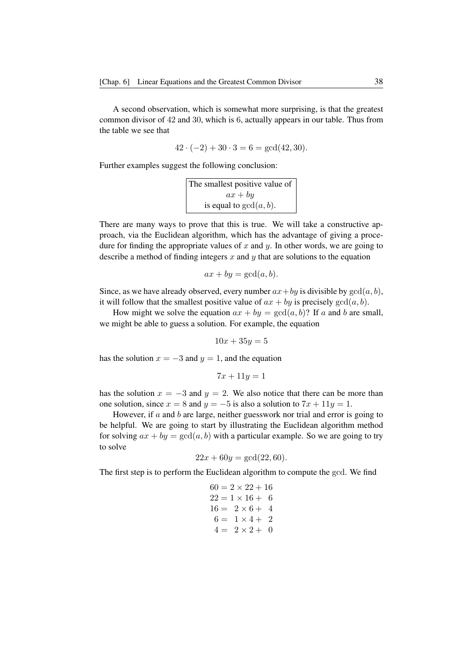A second observation, which is somewhat more surprising, is that the greatest common divisor of 42 and 30, which is 6, actually appears in our table. Thus from the table we see that

$$
42 \cdot (-2) + 30 \cdot 3 = 6 = \gcd(42, 30).
$$

Further examples suggest the following conclusion:

| The smallest positive value of |
|--------------------------------|
| $ax + bu$                      |
| is equal to $gcd(a, b)$ .      |

There are many ways to prove that this is true. We will take a constructive approach, via the Euclidean algorithm, which has the advantage of giving a procedure for finding the appropriate values of *x* and *y*. In other words, we are going to describe a method of finding integers *x* and *y* that are solutions to the equation

$$
ax + by = \gcd(a, b).
$$

Since, as we have already observed, every number  $ax + by$  is divisible by  $gcd(a, b)$ , it will follow that the smallest positive value of  $ax + by$  is precisely  $gcd(a, b)$ .

How might we solve the equation  $ax + by = \gcd(a, b)$ ? If *a* and *b* are small, we might be able to guess a solution. For example, the equation

$$
10x + 35y = 5
$$

has the solution  $x = -3$  and  $y = 1$ , and the equation

$$
7x + 11y = 1
$$

has the solution  $x = -3$  and  $y = 2$ . We also notice that there can be more than one solution, since  $x = 8$  and  $y = -5$  is also a solution to  $7x + 11y = 1$ .

However, if *a* and *b* are large, neither guesswork nor trial and error is going to be helpful. We are going to start by illustrating the Euclidean algorithm method for solving  $ax + by = \gcd(a, b)$  with a particular example. So we are going to try to solve

$$
22x + 60y = \gcd(22, 60).
$$

The first step is to perform the Euclidean algorithm to compute the gcd. We find

$$
60 = 2 \times 22 + 16
$$
  
\n
$$
22 = 1 \times 16 + 6
$$
  
\n
$$
16 = 2 \times 6 + 4
$$
  
\n
$$
6 = 1 \times 4 + 2
$$
  
\n
$$
4 = 2 \times 2 + 0
$$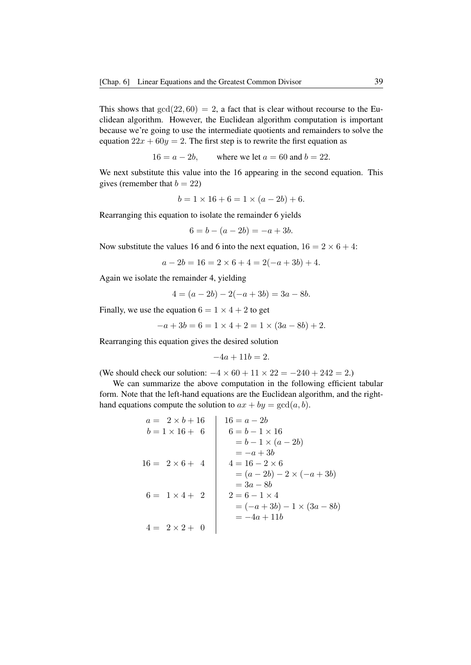This shows that  $gcd(22, 60) = 2$ , a fact that is clear without recourse to the Euclidean algorithm. However, the Euclidean algorithm computation is important because we're going to use the intermediate quotients and remainders to solve the equation  $22x + 60y = 2$ . The first step is to rewrite the first equation as

$$
16 = a - 2b, \qquad \text{where we let } a = 60 \text{ and } b = 22.
$$

We next substitute this value into the 16 appearing in the second equation. This gives (remember that  $b = 22$ )

$$
b = 1 \times 16 + 6 = 1 \times (a - 2b) + 6.
$$

Rearranging this equation to isolate the remainder 6 yields

$$
6 = b - (a - 2b) = -a + 3b.
$$

Now substitute the values 16 and 6 into the next equation,  $16 = 2 \times 6 + 4$ :

$$
a - 2b = 16 = 2 \times 6 + 4 = 2(-a + 3b) + 4.
$$

Again we isolate the remainder 4, yielding

$$
4 = (a - 2b) - 2(-a + 3b) = 3a - 8b.
$$

Finally, we use the equation  $6 = 1 \times 4 + 2$  to get

$$
-a + 3b = 6 = 1 \times 4 + 2 = 1 \times (3a - 8b) + 2.
$$

Rearranging this equation gives the desired solution

$$
-4a + 11b = 2.
$$

(We should check our solution: *−*4 *×* 60 + 11 *×* 22 = *−*240 + 242 = 2.)

We can summarize the above computation in the following efficient tabular form. Note that the left-hand equations are the Euclidean algorithm, and the righthand equations compute the solution to  $ax + by = \gcd(a, b)$ .

$$
a = 2 \times b + 16
$$
  
\n
$$
b = 1 \times 16 + 6
$$
  
\n
$$
16 = b - 1 \times 16
$$
  
\n
$$
= b - 1 \times (a - 2b)
$$
  
\n
$$
16 = 2 \times 6 + 4
$$
  
\n
$$
4 = 16 - 2 \times 6
$$
  
\n
$$
= (a - 2b) - 2 \times (-a + 3b)
$$
  
\n
$$
= 3a - 8b
$$
  
\n
$$
2 = 6 - 1 \times 4
$$
  
\n
$$
= (-a + 3b) - 1 \times (3a - 8b)
$$
  
\n
$$
4 = 2 \times 2 + 0
$$
  
\n
$$
4 = 2a - 8b
$$
  
\n
$$
a = 2a - 8b
$$
  
\n
$$
a = 2a - 8b
$$
  
\n
$$
a = 2a - 8b
$$
  
\n
$$
a = 2a + 11b
$$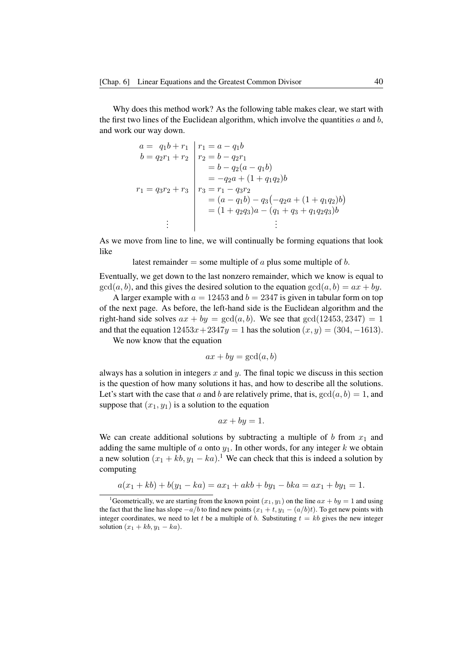Why does this method work? As the following table makes clear, we start with the first two lines of the Euclidean algorithm, which involve the quantities *a* and *b*, and work our way down.

$$
a = q_1b + r_1
$$
\n
$$
b = q_2r_1 + r_2
$$
\n
$$
r_1 = a - q_1b
$$
\n
$$
r_2 = b - q_2r_1
$$
\n
$$
= b - q_2(a - q_1b)
$$
\n
$$
= -q_2a + (1 + q_1q_2)b
$$
\n
$$
r_1 = q_3r_2 + r_3
$$
\n
$$
r_3 = r_1 - q_3r_2
$$
\n
$$
= (a - q_1b) - q_3(-q_2a + (1 + q_1q_2)b)
$$
\n
$$
= (1 + q_2q_3)a - (q_1 + q_3 + q_1q_2q_3)b
$$
\n
$$
\vdots
$$
\n
$$
= 1
$$

As we move from line to line, we will continually be forming equations that look like

latest remainder = some multiple of *a* plus some multiple of *b.*

Eventually, we get down to the last nonzero remainder, which we know is equal to  $gcd(a, b)$ , and this gives the desired solution to the equation  $gcd(a, b) = ax + by$ .

A larger example with  $a = 12453$  and  $b = 2347$  is given in tabular form on top of the next page. As before, the left-hand side is the Euclidean algorithm and the right-hand side solves  $ax + by = \text{gcd}(a, b)$ . We see that  $\text{gcd}(12453, 2347) = 1$ and that the equation  $12453x+2347y = 1$  has the solution  $(x, y) = (304, -1613)$ .

We now know that the equation

$$
ax + by = \gcd(a, b)
$$

always has a solution in integers *x* and *y*. The final topic we discuss in this section is the question of how many solutions it has, and how to describe all the solutions. Let's start with the case that *a* and *b* are relatively prime, that is,  $\gcd(a, b) = 1$ , and suppose that  $(x_1, y_1)$  is a solution to the equation

$$
ax + by = 1.
$$

We can create additional solutions by subtracting a multiple of  $b$  from  $x_1$  and adding the same multiple of  $a$  onto  $y_1$ . In other words, for any integer  $k$  we obtain a new solution  $(x_1 + kb, y_1 - ka)$ .<sup>1</sup> We can check that this is indeed a solution by computing

$$
a(x_1 + kb) + b(y_1 - ka) = ax_1 + akb + by_1 - bka = ax_1 + by_1 = 1.
$$

<sup>&</sup>lt;sup>1</sup>Geometrically, we are starting from the known point  $(x_1, y_1)$  on the line  $ax + by = 1$  and using the fact that the line has slope  $-a/b$  to find new points  $(x_1 + t, y_1 - (a/b)t)$ . To get new points with integer coordinates, we need to let  $t$  be a multiple of  $b$ . Substituting  $t = kb$  gives the new integer solution  $(x_1 + kb, y_1 - ka)$ .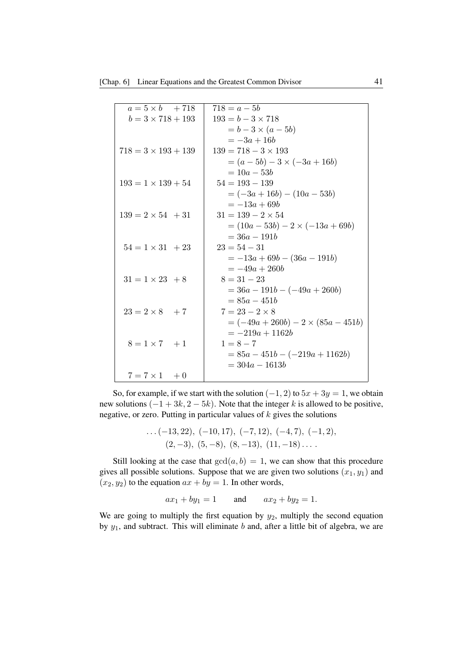| $a=5\times b$ + 718        | $718 = a - 5b$                            |
|----------------------------|-------------------------------------------|
| $b = 3 \times 718 + 193$   | $193 = b - 3 \times 718$                  |
|                            | $= b - 3 \times (a - 5b)$                 |
|                            | $=-3a+16b$                                |
| $718 = 3 \times 193 + 139$ | $139 = 718 - 3 \times 193$                |
|                            | $=(a-5b)-3 \times (-3a+16b)$              |
|                            | $= 10a - 53b$                             |
| $193 = 1 \times 139 + 54$  | $54 = 193 - 139$                          |
|                            | $= (-3a + 16b) - (10a - 53b)$             |
|                            | $=-13a+69b$                               |
| $139 = 2 \times 54 + 31$   | $31 = 139 - 2 \times 54$                  |
|                            | $= (10a - 53b) - 2 \times (-13a + 69b)$   |
|                            | $=$ 36a - 191b                            |
| $54 = 1 \times 31 + 23$    | $23 = 54 - 31$                            |
|                            | $=-13a+69b-(36a-191b)$                    |
|                            | $=-49a+260b$                              |
| $31 = 1 \times 23 + 8$     | $8 = 31 - 23$                             |
|                            | $=$ 36a - 191b - $(-49a + 260b)$          |
|                            | $= 85a - 451b$                            |
| $23 = 2 \times 8 + 7$      | $7 = 23 - 2 \times 8$                     |
|                            | $= (-49a + 260b) - 2 \times (85a - 451b)$ |
|                            | $=-219a+1162b$                            |
| $8 = 1 \times 7 + 1$       | $1 = 8 - 7$                               |
|                            | $= 85a - 451b - (-219a + 1162b)$          |
|                            | $= 304a - 1613b$                          |
| $7 = 7 \times 1 + 0$       |                                           |
|                            |                                           |

So, for example, if we start with the solution  $(-1, 2)$  to  $5x + 3y = 1$ , we obtain new solutions (*−*1 + 3*k,* 2 *−* 5*k*). Note that the integer *k* is allowed to be positive, negative, or zero. Putting in particular values of *k* gives the solutions

$$
\dots(-13,22), (-10,17), (-7,12), (-4,7), (-1,2),
$$
  
(2,-3), (5,-8), (8,-13), (11,-18)...

Still looking at the case that  $gcd(a, b) = 1$ , we can show that this procedure gives all possible solutions. Suppose that we are given two solutions  $(x_1, y_1)$  and  $(x_2, y_2)$  to the equation  $ax + by = 1$ . In other words,

$$
ax_1 + by_1 = 1
$$
 and  $ax_2 + by_2 = 1$ .

We are going to multiply the first equation by  $y_2$ , multiply the second equation by *y*1, and subtract. This will eliminate *b* and, after a little bit of algebra, we are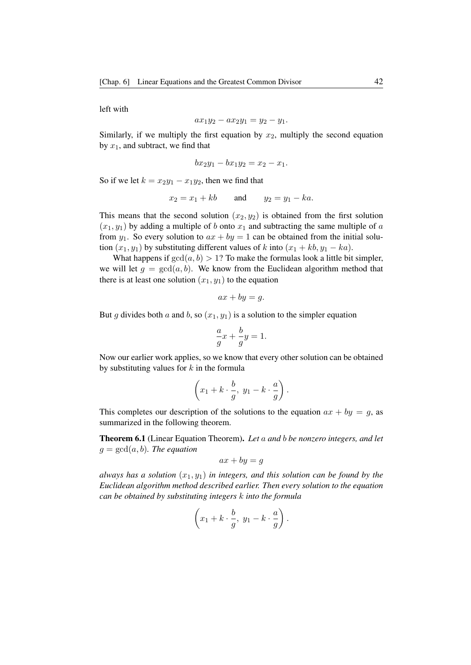left with

$$
ax_1y_2 - ax_2y_1 = y_2 - y_1.
$$

Similarly, if we multiply the first equation by  $x_2$ , multiply the second equation by  $x_1$ , and subtract, we find that

$$
bx_2y_1 - bx_1y_2 = x_2 - x_1.
$$

So if we let  $k = x_2y_1 - x_1y_2$ , then we find that

$$
x_2 = x_1 + kb \qquad \text{and} \qquad y_2 = y_1 - ka.
$$

This means that the second solution  $(x_2, y_2)$  is obtained from the first solution  $(x_1, y_1)$  by adding a multiple of *b* onto  $x_1$  and subtracting the same multiple of *a* from  $y_1$ . So every solution to  $ax + by = 1$  can be obtained from the initial solution  $(x_1, y_1)$  by substituting different values of *k* into  $(x_1 + kb, y_1 - ka)$ .

What happens if  $gcd(a, b) > 1$ ? To make the formulas look a little bit simpler, we will let  $g = \gcd(a, b)$ . We know from the Euclidean algorithm method that there is at least one solution  $(x_1, y_1)$  to the equation

$$
ax + by = g.
$$

But *g* divides both *a* and *b*, so  $(x_1, y_1)$  is a solution to the simpler equation

$$
\frac{a}{g}x + \frac{b}{g}y = 1.
$$

Now our earlier work applies, so we know that every other solution can be obtained by substituting values for *k* in the formula

$$
\left(x_1+k\cdot\frac{b}{g},\;y_1-k\cdot\frac{a}{g}\right).
$$

This completes our description of the solutions to the equation  $ax + by = g$ , as summarized in the following theorem.

Theorem 6.1 (Linear Equation Theorem). *Let a and b be nonzero integers, and let*  $g = \gcd(a, b)$ *. The equation* 

$$
ax + by = g
$$

*always has a solution* (*x*1*, y*1) *in integers, and this solution can be found by the Euclidean algorithm method described earlier. Then every solution to the equation can be obtained by substituting integers k into the formula*

$$
\left(x_1 + k \cdot \frac{b}{g}, y_1 - k \cdot \frac{a}{g}\right).
$$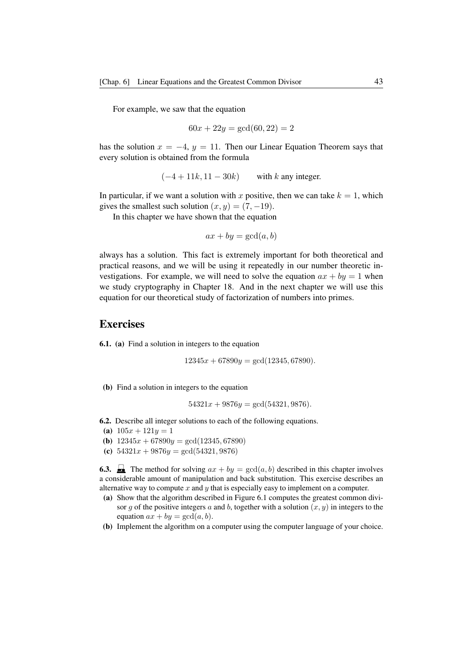For example, we saw that the equation

$$
60x + 22y = \gcd(60, 22) = 2
$$

has the solution  $x = -4$ ,  $y = 11$ . Then our Linear Equation Theorem says that every solution is obtained from the formula

$$
(-4+11k, 11-30k) \qquad \text{with } k \text{ any integer.}
$$

In particular, if we want a solution with  $x$  positive, then we can take  $k = 1$ , which gives the smallest such solution  $(x, y) = (7, -19)$ .

In this chapter we have shown that the equation

$$
ax + by = \gcd(a, b)
$$

always has a solution. This fact is extremely important for both theoretical and practical reasons, and we will be using it repeatedly in our number theoretic investigations. For example, we will need to solve the equation  $ax + by = 1$  when we study cryptography in Chapter 18. And in the next chapter we will use this equation for our theoretical study of factorization of numbers into primes.

### **Exercises**

6.1. (a) Find a solution in integers to the equation

 $12345x + 67890y = \gcd(12345, 67890)$ .

(b) Find a solution in integers to the equation

$$
54321x + 9876y = \gcd(54321, 9876).
$$

6.2. Describe all integer solutions to each of the following equations.

- (a)  $105x + 121y = 1$
- (**b**)  $12345x + 67890y = \gcd(12345, 67890)$
- (c)  $54321x + 9876y = \gcd(54321, 9876)$

6.3.  $\Box$  The method for solving  $ax + by = \gcd(a, b)$  described in this chapter involves a considerable amount of manipulation and back substitution. This exercise describes an alternative way to compute *x* and *y* that is especially easy to implement on a computer.

- (a) Show that the algorithm described in Figure 6.1 computes the greatest common divisor *g* of the positive integers *a* and *b*, together with a solution  $(x, y)$  in integers to the equation  $ax + by = \gcd(a, b)$ .
- (b) Implement the algorithm on a computer using the computer language of your choice.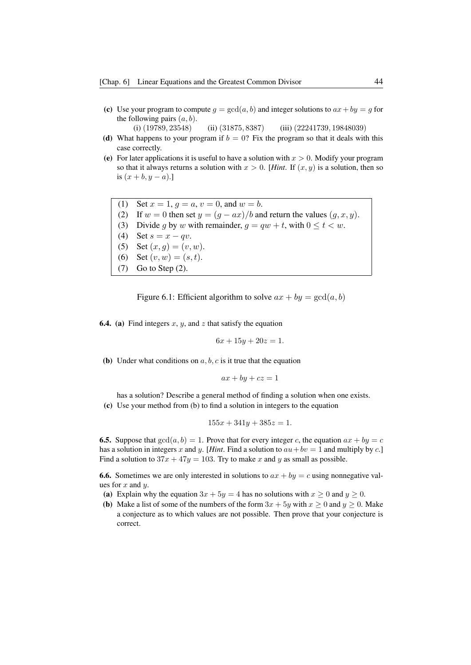- (c) Use your program to compute  $q = \gcd(a, b)$  and integer solutions to  $ax + by = q$  for the following pairs (*a, b*).
	- (i) (19789*,* 23548) (ii) (31875*,* 8387) (iii) (22241739*,* 19848039)
- (d) What happens to your program if  $b = 0$ ? Fix the program so that it deals with this case correctly.
- (e) For later applications it is useful to have a solution with  $x > 0$ . Modify your program so that it always returns a solution with  $x > 0$ . [*Hint*. If  $(x, y)$  is a solution, then so is  $(x + b, y − a)$ .]

(1) Set  $x = 1$ ,  $q = a$ ,  $v = 0$ , and  $w = b$ .

- (2) If  $w = 0$  then set  $y = (g ax)/b$  and return the values  $(g, x, y)$ .
- (3) Divide *g* by *w* with remainder,  $q = qw + t$ , with  $0 \le t \le w$ .
- (4) Set  $s = x qv$ .
- (5) Set  $(x, q) = (v, w)$ .
- (6) Set  $(v, w) = (s, t)$ .
- (7) Go to Step (2).

Figure 6.1: Efficient algorithm to solve  $ax + by = \gcd(a, b)$ 

6.4. (a) Find integers *x*, *y*, and *z* that satisfy the equation

$$
6x + 15y + 20z = 1.
$$

(b) Under what conditions on *a, b, c* is it true that the equation

$$
ax + by + cz = 1
$$

has a solution? Describe a general method of finding a solution when one exists. (c) Use your method from (b) to find a solution in integers to the equation

$$
155x + 341y + 385z = 1.
$$

**6.5.** Suppose that  $gcd(a, b) = 1$ . Prove that for every integer *c*, the equation  $ax + by = c$ has a solution in integers x and y. [*Hint*. Find a solution to  $au + bv = 1$  and multiply by c.] Find a solution to  $37x + 47y = 103$ . Try to make x and y as small as possible.

**6.6.** Sometimes we are only interested in solutions to  $ax + by = c$  using nonnegative values for *x* and *y*.

- (a) Explain why the equation  $3x + 5y = 4$  has no solutions with  $x \ge 0$  and  $y \ge 0$ .
- (b) Make a list of some of the numbers of the form  $3x + 5y$  with  $x \ge 0$  and  $y \ge 0$ . Make a conjecture as to which values are not possible. Then prove that your conjecture is correct.